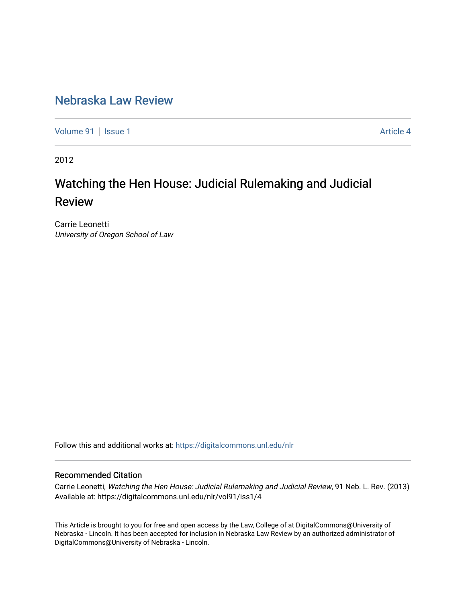# [Nebraska Law Review](https://digitalcommons.unl.edu/nlr)

[Volume 91](https://digitalcommons.unl.edu/nlr/vol91) | [Issue 1](https://digitalcommons.unl.edu/nlr/vol91/iss1) Article 4

2012

# Watching the Hen House: Judicial Rulemaking and Judicial Review

Carrie Leonetti University of Oregon School of Law

Follow this and additional works at: [https://digitalcommons.unl.edu/nlr](https://digitalcommons.unl.edu/nlr?utm_source=digitalcommons.unl.edu%2Fnlr%2Fvol91%2Fiss1%2F4&utm_medium=PDF&utm_campaign=PDFCoverPages) 

# Recommended Citation

Carrie Leonetti, Watching the Hen House: Judicial Rulemaking and Judicial Review, 91 Neb. L. Rev. (2013) Available at: https://digitalcommons.unl.edu/nlr/vol91/iss1/4

This Article is brought to you for free and open access by the Law, College of at DigitalCommons@University of Nebraska - Lincoln. It has been accepted for inclusion in Nebraska Law Review by an authorized administrator of DigitalCommons@University of Nebraska - Lincoln.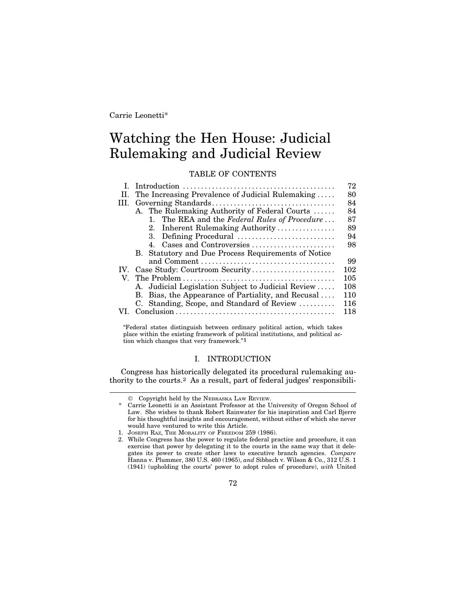# Watching the Hen House: Judicial Rulemaking and Judicial Review

TABLE OF CONTENTS

|     |                                                                                                         | 72  |
|-----|---------------------------------------------------------------------------------------------------------|-----|
| H.  | The Increasing Prevalence of Judicial Rulemaking                                                        | 80  |
|     |                                                                                                         | 84  |
|     | A. The Rulemaking Authority of Federal Courts                                                           | 84  |
|     | 1. The REA and the Federal Rules of Procedure                                                           | 87  |
|     | 2. Inherent Rulemaking Authority                                                                        | 89  |
|     | 3. Defining Procedural                                                                                  | 94  |
|     | 4. Cases and Controversies                                                                              | 98  |
|     | B. Statutory and Due Process Requirements of Notice                                                     |     |
|     |                                                                                                         | 99  |
| IV. | Case Study: Courtroom Security                                                                          | 102 |
|     |                                                                                                         | 105 |
|     | A. Judicial Legislation Subject to Judicial Review                                                      | 108 |
|     | B. Bias, the Appearance of Partiality, and Recusal                                                      | 110 |
|     | C. Standing, Scope, and Standard of Review                                                              | 116 |
|     | $Conclusion \ldots \ldots \ldots \ldots \ldots \ldots \ldots \ldots \ldots \ldots \ldots \ldots \ldots$ | 118 |
|     |                                                                                                         |     |

"Federal states distinguish between ordinary political action, which takes place within the existing framework of political institutions, and political action which changes that very framework."1

### I. INTRODUCTION

Congress has historically delegated its procedural rulemaking authority to the courts.2 As a result, part of federal judges' responsibili-

<sup>©</sup> Copyright held by the NEBRASKA LAW REVIEW.

<sup>\*</sup> Carrie Leonetti is an Assistant Professor at the University of Oregon School of Law. She wishes to thank Robert Rainwater for his inspiration and Carl Bjerre for his thoughtful insights and encouragement, without either of which she never would have ventured to write this Article.

<sup>1.</sup> JOSEPH RAZ, THE MORALITY OF FREEDOM 259 (1986).

<sup>2.</sup> While Congress has the power to regulate federal practice and procedure, it can exercise that power by delegating it to the courts in the same way that it delegates its power to create other laws to executive branch agencies. *Compare* Hanna v. Plummer, 380 U.S. 460 (1965), *and* Sibbach v. Wilson & Co., 312 U.S. 1 (1941) (upholding the courts' power to adopt rules of procedure), *with* United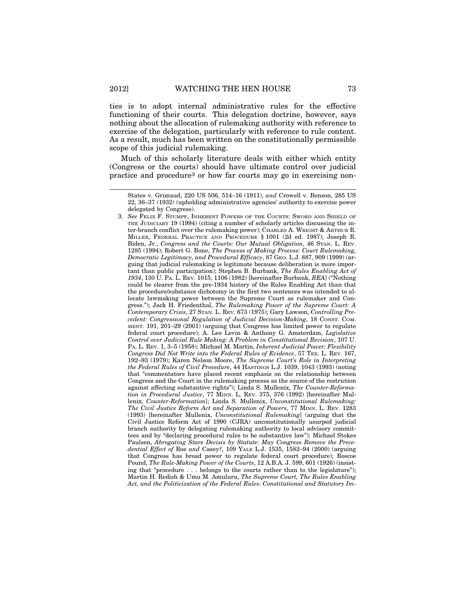ties is to adopt internal administrative rules for the effective functioning of their courts. This delegation doctrine, however, says nothing about the allocation of rulemaking authority with reference to exercise of the delegation, particularly with reference to rule content. As a result, much has been written on the constitutionally permissible scope of this judicial rulemaking.

Much of this scholarly literature deals with either which entity (Congress or the courts) should have ultimate control over judicial practice and procedure3 or how far courts may go in exercising non-

3. *See* FELIX F. STUMPF, INHERENT POWERS OF THE COURTS: SWORD AND SHIELD OF THE JUDICIARY 19 (1994) (citing a number of scholarly articles discussing the inter-branch conflict over the rulemaking power); CHARLES A. WRIGHT & ARTHUR R. MILLER, FEDERAL PRACTICE AND PROCEDURE § 1001 (2d ed. 1987); Joseph R. Biden, Jr., *Congress and the Courts: Our Mutual Obligation*, 46 STAN. L. REV. 1285 (1994); Robert G. Bone, *The Process of Making Process: Court Rulemaking, Democratic Legitimacy, and Procedural Efficacy*, 87 GEO. L.J. 887, 909 (1999) (arguing that judicial rulemaking is legitimate because deliberation is more important than public participation); Stephen B. Burbank, *The Rules Enabling Act of 1934*, 130 U. PA. L. REV. 1015, 1106 (1982) [hereinafter Burbank, *REA*] ("Nothing could be clearer from the pre-1934 history of the Rules Enabling Act than that the procedure/substance dichotomy in the first two sentences was intended to allocate lawmaking power between the Supreme Court as rulemaker and Congress."); Jack H. Friedenthal, *The Rulemaking Power of the Supreme Court: A Contemporary Crisis*, 27 STAN. L. REV. 673 (1975); Gary Lawson, *Controlling Precedent: Congressional Regulation of Judicial Decision-Making*, 18 CONST. COM-MENT. 191, 201–29 (2001) (arguing that Congress has limited power to regulate federal court procedure); A. Leo Levin & Anthony G. Amsterdam, *Legislative Control over Judicial Rule Making: A Problem in Constitutional Revision*, 107 U. PA. L. REV. 1, 3–5 (1958); Michael M. Martin, *Inherent Judicial Power: Flexibility Congress Did Not Write into the Federal Rules of Evidence*, 57 TEX. L. REV. 167, 192–93 (1979); Karen Nelson Moore, *The Supreme Court's Role in Interpreting the Federal Rules of Civil Procedure*, 44 HASTINGS L.J. 1039, 1043 (1993) (noting that "commentators have placed recent emphasis on the relationship between Congress and the Court in the rulemaking process as the source of the restriction against affecting substantive rights"); Linda S. Mullenix, *The Counter-Reformation in Procedural Justice*, 77 MINN. L. REV. 375, 376 (1992) [hereinafter Mullenix, *Counter-Reformation*]; Linda S. Mullenix, *Unconstitutional Rulemaking: The Civil Justice Reform Act and Separation of Powers*, 77 MINN. L. REV. 1283 (1993) [hereinafter Mullenix, *Unconstitutional Rulemaking*] (arguing that the Civil Justice Reform Act of 1990 (CJRA) unconstitutionally usurped judicial branch authority by delegating rulemaking authority to local advisory committees and by "declaring procedural rules to be substantive law"); Michael Stokes Paulsen, *Abrogating Stare Decisis by Statute: May Congress Remove the Precedential Effect of* Roe *and* Casey*?*, 109 YALE L.J. 1535, 1582–94 (2000) (arguing that Congress has broad power to regulate federal court procedure); Roscoe Pound, *The Rule-Making Power of the Courts*, 12 A.B.A. J. 599, 601 (1926) (insisting that "procedure . . . belongs to the courts rather than to the legislature"); Martin H. Redish & Umu M. Amuluru, *The Supreme Court, The Rules Enabling Act, and the Politicization of the Federal Rules: Constitutional and Statutory Im-*

States v. Grimaud, 220 US 506, 514–16 (1911), *and* Crowell v. Benson, 285 US 22, 36–37 (1932) (upholding administrative agencies' authority to exercise power delegated by Congress).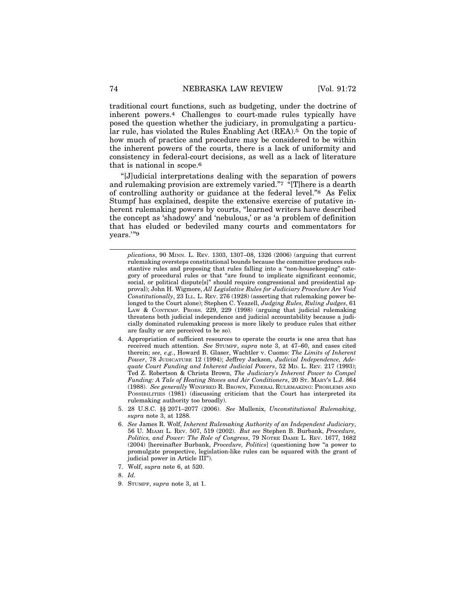traditional court functions, such as budgeting, under the doctrine of inherent powers.4 Challenges to court-made rules typically have posed the question whether the judiciary, in promulgating a particular rule, has violated the Rules Enabling Act (REA).5 On the topic of how much of practice and procedure may be considered to be within the inherent powers of the courts, there is a lack of uniformity and consistency in federal-court decisions, as well as a lack of literature that is national in scope.6

"[J]udicial interpretations dealing with the separation of powers and rulemaking provision are extremely varied."7 "[T]here is a dearth of controlling authority or guidance at the federal level."8 As Felix Stumpf has explained, despite the extensive exercise of putative inherent rulemaking powers by courts, "learned writers have described the concept as 'shadowy' and 'nebulous,' or as 'a problem of definition that has eluded or bedeviled many courts and commentators for years.'"9

*plications*, 90 MINN. L. REV. 1303, 1307–08, 1326 (2006) (arguing that current rulemaking oversteps constitutional bounds because the committee produces substantive rules and proposing that rules falling into a "non-housekeeping" category of procedural rules or that "are found to implicate significant economic, social, or political dispute[s]" should require congressional and presidential approval); John H. Wigmore, *All Legislative Rules for Judiciary Procedure Are Void Constitutionally*, 23 ILL. L. REV. 276 (1928) (asserting that rulemaking power belonged to the Court alone); Stephen C. Yeazell, *Judging Rules, Ruling Judges*, 61 LAW & CONTEMP. PROBS. 229, 229 (1998) (arguing that judicial rulemaking threatens both judicial independence and judicial accountability because a judicially dominated rulemaking process is more likely to produce rules that either are faulty or are perceived to be so).

- 4. Appropriation of sufficient resources to operate the courts is one area that has received much attention. *See* STUMPF, *supra* note 3, at 47–60, and cases cited therein; *see, e.g.*, Howard B. Glaser, Wachtler v. Cuomo: *The Limits of Inherent Power*, 78 JUDICATURE 12 (1994); Jeffrey Jackson, *Judicial Independence, Adequate Court Funding and Inherent Judicial Powers*, 52 MD. L. REV. 217 (1993); Ted Z. Robertson & Christa Brown, *The Judiciary's Inherent Power to Compel Funding: A Tale of Heating Stoves and Air Conditioners*, 20 ST. MARY'S L.J. 864 (1988). *See generally* WINIFRED R. BROWN, FEDERAL RULEMAKING: PROBLEMS AND POSSIBILITIES (1981) (discussing criticism that the Court has interpreted its rulemaking authority too broadly).
- 5. 28 U.S.C. §§ 2071–2077 (2006). *See* Mullenix, *Unconstitutional Rulemaking*, *supra* note 3, at 1288.
- 6. *See* James R. Wolf, *Inherent Rulemaking Authority of an Independent Judiciary*, 56 U. MIAMI L. REV. 507, 519 (2002). *But see* Stephen B. Burbank, *Procedure, Politics, and Power: The Role of Congress*, 79 NOTRE DAME L. REV. 1677, 1682 (2004) [hereinafter Burbank, *Procedure, Politics*] (questioning how "a power to promulgate prospective, legislation-like rules can be squared with the grant of judicial power in Article III").
- 7. Wolf, *supra* note 6, at 520.
- 8. *Id.*
- 9. STUMPF, *supra* note 3, at 1.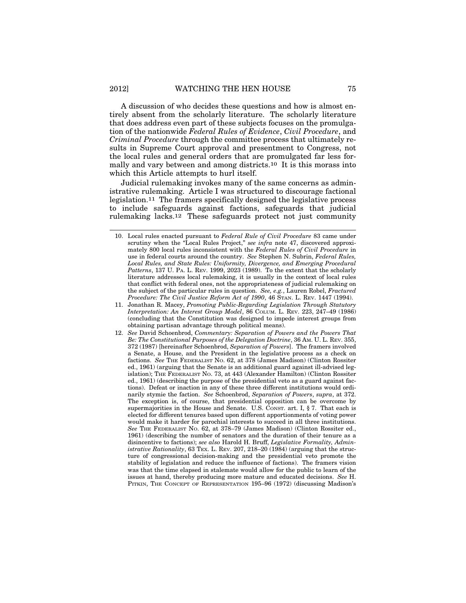A discussion of who decides these questions and how is almost entirely absent from the scholarly literature. The scholarly literature that does address even part of these subjects focuses on the promulgation of the nationwide *Federal Rules of Evidence*, *Civil Procedure*, and *Criminal Procedure* through the committee process that ultimately results in Supreme Court approval and presentment to Congress, not the local rules and general orders that are promulgated far less formally and vary between and among districts.10 It is this morass into which this Article attempts to hurl itself.

Judicial rulemaking invokes many of the same concerns as administrative rulemaking. Article I was structured to discourage factional legislation.11 The framers specifically designed the legislative process to include safeguards against factions, safeguards that judicial rulemaking lacks.12 These safeguards protect not just community

- 10. Local rules enacted pursuant to *Federal Rule of Civil Procedure* 83 came under scrutiny when the "Local Rules Project," *see infra* note 47, discovered approximately 800 local rules inconsistent with the *Federal Rules of Civil Procedure* in use in federal courts around the country. *See* Stephen N. Subrin, *Federal Rules, Local Rules, and State Rules: Uniformity, Divergence, and Emerging Procedural Patterns*, 137 U. PA. L. REV. 1999, 2023 (1989). To the extent that the scholarly literature addresses local rulemaking, it is usually in the context of local rules that conflict with federal ones, not the appropriateness of judicial rulemaking on the subject of the particular rules in question. *See, e.g.*, Lauren Robel, *Fractured Procedure: The Civil Justice Reform Act of 1990*, 46 STAN. L. REV. 1447 (1994).
- 11. Jonathan R. Macey, *Promoting Public-Regarding Legislation Through Statutory Interpretation: An Interest Group Model*, 86 COLUM. L. REV. 223, 247–49 (1986) (concluding that the Constitution was designed to impede interest groups from obtaining partisan advantage through political means).
- 12. *See* David Schoenbrod, *Commentary: Separation of Powers and the Powers That Be: The Constitutional Purposes of the Delegation Doctrine*, 36 AM. U. L. REV. 355, 372 (1987) [hereinafter Schoenbrod, *Separation of Powers*]. The framers involved a Senate, a House, and the President in the legislative process as a check on factions. *See* THE FEDERALIST NO. 62, at 378 (James Madison) (Clinton Rossiter ed., 1961) (arguing that the Senate is an additional guard against ill-advised legislation); THE FEDERALIST NO. 73, at 443 (Alexander Hamilton) (Clinton Rossiter ed., 1961) (describing the purpose of the presidential veto as a guard against factions). Defeat or inaction in any of these three different institutions would ordinarily stymie the faction. *See* Schoenbrod, *Separation of Powers*, *supra*, at 372. The exception is, of course, that presidential opposition can be overcome by supermajorities in the House and Senate. U.S. Consr. art. I,  $\S 7$ . That each is elected for different tenures based upon different apportionments of voting power would make it harder for parochial interests to succeed in all three institutions. *See* THE FEDERALIST NO. 62, at 378–79 (James Madison) (Clinton Rossiter ed., 1961) (describing the number of senators and the duration of their tenure as a disincentive to factions); *see also* Harold H. Bruff, *Legislative Formality, Administrative Rationality*, 63 Tex. L. Rev. 207, 218–20 (1984) (arguing that the structure of congressional decision-making and the presidential veto promote the stability of legislation and reduce the influence of factions). The framers vision was that the time elapsed in stalemate would allow for the public to learn of the issues at hand, thereby producing more mature and educated decisions. *See* H. PITKIN, THE CONCEPT OF REPRESENTATION 195–96 (1972) (discussing Madison's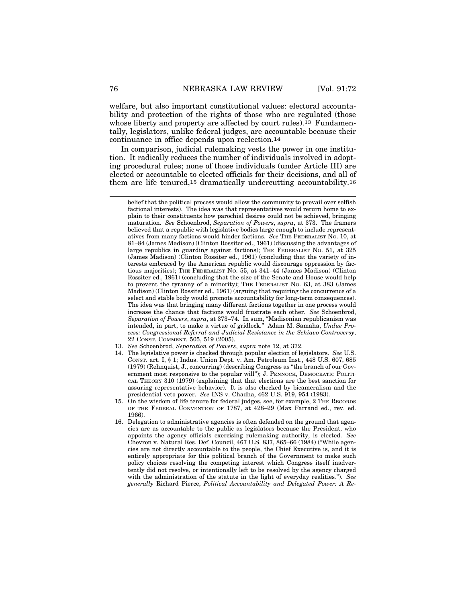welfare, but also important constitutional values: electoral accountability and protection of the rights of those who are regulated (those whose liberty and property are affected by court rules).<sup>13</sup> Fundamentally, legislators, unlike federal judges, are accountable because their continuance in office depends upon reelection.14

In comparison, judicial rulemaking vests the power in one institution. It radically reduces the number of individuals involved in adopting procedural rules; none of those individuals (under Article III) are elected or accountable to elected officials for their decisions, and all of them are life tenured,15 dramatically undercutting accountability.16

belief that the political process would allow the community to prevail over selfish factional interests). The idea was that representatives would return home to explain to their constituents how parochial desires could not be achieved, bringing maturation. *See* Schoenbrod, *Separation of Powers*, *supra*, at 373. The framers believed that a republic with legislative bodies large enough to include representatives from many factions would hinder factions. *See* THE FEDERALIST NO. 10, at 81–84 (James Madison) (Clinton Rossiter ed., 1961) (discussing the advantages of large republics in guarding against factions); THE FEDERALIST No. 51, at 325 (James Madison) (Clinton Rossiter ed., 1961) (concluding that the variety of interests embraced by the American republic would discourage oppression by factious majorities); THE FEDERALIST NO. 55, at 341–44 (James Madison) (Clinton Rossiter ed., 1961) (concluding that the size of the Senate and House would help to prevent the tyranny of a minority); THE FEDERALIST NO. 63, at 383 (James Madison) (Clinton Rossiter ed., 1961) (arguing that requiring the concurrence of a select and stable body would promote accountability for long-term consequences). The idea was that bringing many different factions together in one process would increase the chance that factions would frustrate each other. *See* Schoenbrod, *Separation of Powers*, *supra*, at 373–74. In sum, "Madisonian republicanism was intended, in part, to make a virtue of gridlock." Adam M. Samaha, *Undue Process: Congressional Referral and Judicial Resistance in the Schiavo Controversy*, 22 CONST. COMMENT. 505, 519 (2005).

- 13. *See* Schoenbrod, *Separation of Powers*, *supra* note 12, at 372.
- 14. The legislative power is checked through popular election of legislators. *See* U.S. CONST. art. I, § 1; Indus. Union Dept. v. Am. Petroleum Inst., 448 U.S. 607, 685 (1979) (Rehnquist, J., concurring) (describing Congress as "the branch of our Government most responsive to the popular will"); J. PENNOCK, DEMOCRATIC POLITI-CAL THEORY 310 (1979) (explaining that that elections are the best sanction for assuring representative behavior). It is also checked by bicameralism and the presidential veto power. *See* INS v. Chadha, 462 U.S. 919, 954 (1983).
- 15. On the wisdom of life tenure for federal judges, see, for example, 2 THE RECORDS OF THE FEDERAL CONVENTION OF 1787, at 428–29 (Max Farrand ed., rev. ed. 1966).
- 16. Delegation to administrative agencies is often defended on the ground that agencies are as accountable to the public as legislators because the President, who appoints the agency officials exercising rulemaking authority, is elected. *See* Chevron v. Natural Res. Def. Council, 467 U.S. 837, 865–66 (1984) ("While agencies are not directly accountable to the people, the Chief Executive is, and it is entirely appropriate for this political branch of the Government to make such policy choices resolving the competing interest which Congress itself inadvertently did not resolve, or intentionally left to be resolved by the agency charged with the administration of the statute in the light of everyday realities*.*"). *See generally* Richard Pierce, *Political Accountability and Delegated Power: A Re-*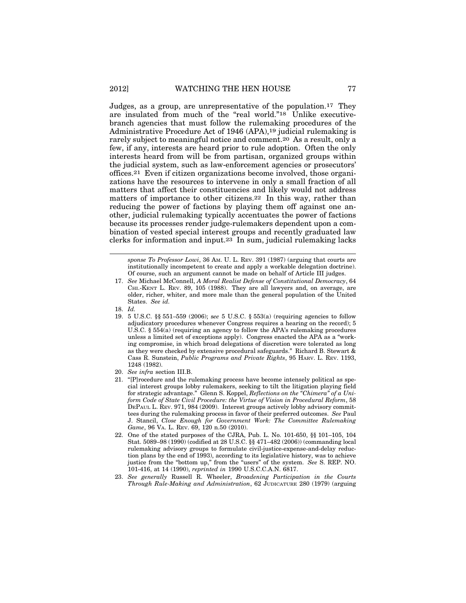Judges, as a group, are unrepresentative of the population.17 They are insulated from much of the "real world."18 Unlike executivebranch agencies that must follow the rulemaking procedures of the Administrative Procedure Act of 1946 (APA),19 judicial rulemaking is rarely subject to meaningful notice and comment.20 As a result, only a few, if any, interests are heard prior to rule adoption. Often the only interests heard from will be from partisan, organized groups within the judicial system, such as law-enforcement agencies or prosecutors' offices.21 Even if citizen organizations become involved, those organizations have the resources to intervene in only a small fraction of all matters that affect their constituencies and likely would not address matters of importance to other citizens.22 In this way, rather than reducing the power of factions by playing them off against one another, judicial rulemaking typically accentuates the power of factions because its processes render judge-rulemakers dependent upon a combination of vested special interest groups and recently graduated law clerks for information and input.23 In sum, judicial rulemaking lacks

*sponse To Professor Lowi*, 36 AM. U. L. REV. 391 (1987) (arguing that courts are institutionally incompetent to create and apply a workable delegation doctrine). Of course, such an argument cannot be made on behalf of Article III judges.

- 17. *See* Michael McConnell, *A Moral Realist Defense of Constitutional Democracy*, 64 CHI.-KENT L. REV. 89, 105 (1988). They are all lawyers and, on average, are older, richer, whiter, and more male than the general population of the United States. *See id.*
- 18. *Id.*
- 19. 5 U.S.C. §§ 551–559 (2006); s*ee* 5 U.S.C. § 553(a) (requiring agencies to follow adjudicatory procedures whenever Congress requires a hearing on the record); 5 U.S.C. § 554(a) (requiring an agency to follow the APA's rulemaking procedures unless a limited set of exceptions apply). Congress enacted the APA as a "working compromise, in which broad delegations of discretion were tolerated as long as they were checked by extensive procedural safeguards." Richard B. Stewart & Cass R. Sunstein, *Public Programs and Private Rights*, 95 HARV. L. REV. 1193, 1248 (1982).
- 20. *See infra* section III.B.
- 21. "[P]rocedure and the rulemaking process have become intensely political as special interest groups lobby rulemakers, seeking to tilt the litigation playing field for strategic advantage." Glenn S. Koppel, *Reflections on the "Chimera" of a Uniform Code of State Civil Procedure: the Virtue of Vision in Procedural Reform*, 58 DEPAUL L. REV. 971, 984 (2009). Interest groups actively lobby advisory committees during the rulemaking process in favor of their preferred outcomes. *See* Paul J. Stancil, *Close Enough for Government Work: The Committee Rulemaking Game*, 96 VA. L. REV. 69, 120 n.50 (2010).
- 22. One of the stated purposes of the CJRA, Pub. L. No. 101-650, §§ 101–105, 104 Stat. 5089–98 (1990) (codified at 28 U.S.C. §§ 471–482 (2006)) (commanding local rulemaking advisory groups to formulate civil-justice-expense-and-delay reduction plans by the end of 1993), according to its legislative history, was to achieve justice from the "bottom up," from the "users" of the system. *See* S. REP. NO. 101-416, at 14 (1990), *reprinted in* 1990 U.S.C.C.A.N. 6817.
- 23. *See generally* Russell R. Wheeler, *Broadening Participation in the Courts Through Rule-Making and Administration*, 62 JUDICATURE 280 (1979) (arguing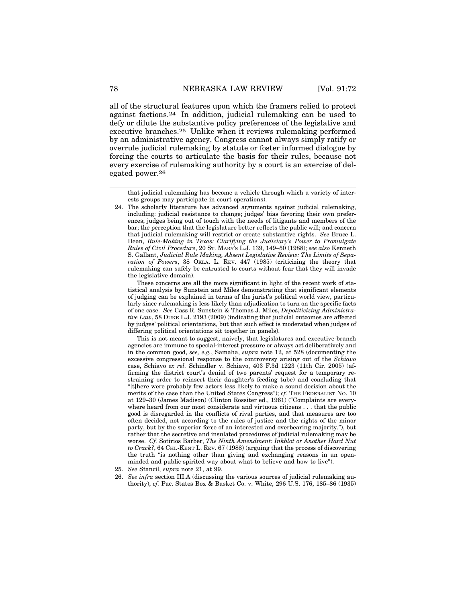all of the structural features upon which the framers relied to protect against factions.24 In addition, judicial rulemaking can be used to defy or dilute the substantive policy preferences of the legislative and executive branches.25 Unlike when it reviews rulemaking performed by an administrative agency, Congress cannot always simply ratify or overrule judicial rulemaking by statute or foster informed dialogue by forcing the courts to articulate the basis for their rules, because not every exercise of rulemaking authority by a court is an exercise of delegated power.26

These concerns are all the more significant in light of the recent work of statistical analysis by Sunstein and Miles demonstrating that significant elements of judging can be explained in terms of the jurist's political world view, particularly since rulemaking is less likely than adjudication to turn on the specific facts of one case. *See* Cass R. Sunstein & Thomas J. Miles, *Depoliticizing Administrative Law*, 58 DUKE L.J. 2193 (2009) (indicating that judicial outcomes are affected by judges' political orientations, but that such effect is moderated when judges of differing political orientations sit together in panels).

This is not meant to suggest, naively, that legislatures and executive-branch agencies are immune to special-interest pressure or always act deliberatively and in the common good, *see, e.g.*, Samaha, *supra* note 12, at 528 (documenting the excessive congressional response to the controversy arising out of the *Schiavo* case, Schiavo *ex rel.* Schindler v. Schiavo, 403 F.3d 1223 (11th Cir. 2005) (affirming the district court's denial of two parents' request for a temporary restraining order to reinsert their daughter's feeding tube) and concluding that "[t]here were probably few actors less likely to make a sound decision about the merits of the case than the United States Congress"); *cf.* THE FEDERALIST No. 10 at 129–30 (James Madison) (Clinton Rossiter ed., 1961) ("Complaints are everywhere heard from our most considerate and virtuous citizens . . . that the public good is disregarded in the conflicts of rival parties, and that measures are too often decided, not according to the rules of justice and the rights of the minor party, but by the superior force of an interested and overbearing majority."), but rather that the secretive and insulated procedures of judicial rulemaking may be worse. *Cf.* Sotirios Barber, *The Ninth Amendment: Inkblot or Another Hard Nut to Crack?*, 64 CHI.-KENT L. REV. 67 (1988) (arguing that the process of discovering the truth "is nothing other than giving and exchanging reasons in an openminded and public-spirited way about what to believe and how to live").

- 25. *See* Stancil, *supra* note 21, at 99.
- 26. *See infra* section III.A (discussing the various sources of judicial rulemaking authority); *cf.* Pac. States Box & Basket Co. v. White, 296 U.S. 176, 185–86 (1935)

that judicial rulemaking has become a vehicle through which a variety of interests groups may participate in court operations).

<sup>24.</sup> The scholarly literature has advanced arguments against judicial rulemaking, including: judicial resistance to change; judges' bias favoring their own preferences; judges being out of touch with the needs of litigants and members of the bar; the perception that the legislature better reflects the public will; and concern that judicial rulemaking will restrict or create substantive rights. *See* Bruce L. Dean, *Rule-Making in Texas: Clarifying the Judiciary's Power to Promulgate Rules of Civil Procedure*, 20 ST. MARY'S L.J. 139, 149–50 (1988); *see also* Kenneth S. Gallant, *Judicial Rule Making, Absent Legislative Review: The Limits of Separation of Powers*, 38 OKLA. L. REV. 447 (1985) (criticizing the theory that rulemaking can safely be entrusted to courts without fear that they will invade the legislative domain).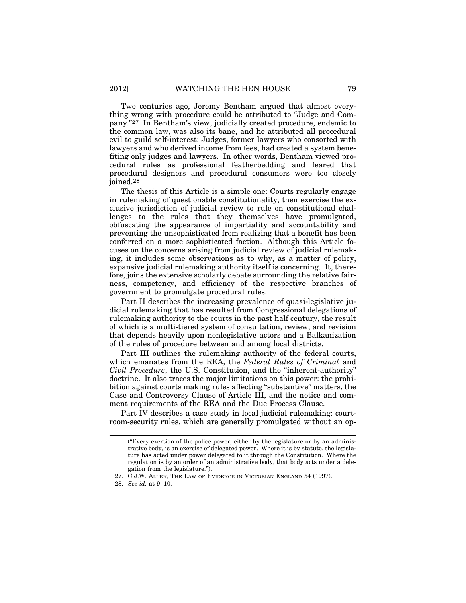Two centuries ago, Jeremy Bentham argued that almost everything wrong with procedure could be attributed to "Judge and Company."27 In Bentham's view, judicially created procedure, endemic to the common law, was also its bane, and he attributed all procedural evil to guild self-interest: Judges, former lawyers who consorted with lawyers and who derived income from fees, had created a system benefiting only judges and lawyers. In other words, Bentham viewed procedural rules as professional featherbedding and feared that procedural designers and procedural consumers were too closely joined.28

The thesis of this Article is a simple one: Courts regularly engage in rulemaking of questionable constitutionality, then exercise the exclusive jurisdiction of judicial review to rule on constitutional challenges to the rules that they themselves have promulgated, obfuscating the appearance of impartiality and accountability and preventing the unsophisticated from realizing that a benefit has been conferred on a more sophisticated faction. Although this Article focuses on the concerns arising from judicial review of judicial rulemaking, it includes some observations as to why, as a matter of policy, expansive judicial rulemaking authority itself is concerning. It, therefore, joins the extensive scholarly debate surrounding the relative fairness, competency, and efficiency of the respective branches of government to promulgate procedural rules.

Part II describes the increasing prevalence of quasi-legislative judicial rulemaking that has resulted from Congressional delegations of rulemaking authority to the courts in the past half century, the result of which is a multi-tiered system of consultation, review, and revision that depends heavily upon nonlegislative actors and a Balkanization of the rules of procedure between and among local districts.

Part III outlines the rulemaking authority of the federal courts, which emanates from the REA, the *Federal Rules of Criminal* and *Civil Procedure*, the U.S. Constitution, and the "inherent-authority" doctrine. It also traces the major limitations on this power: the prohibition against courts making rules affecting "substantive" matters, the Case and Controversy Clause of Article III, and the notice and comment requirements of the REA and the Due Process Clause.

Part IV describes a case study in local judicial rulemaking: courtroom-security rules, which are generally promulgated without an op-

<sup>(&</sup>quot;Every exertion of the police power, either by the legislature or by an administrative body, is an exercise of delegated power. Where it is by statute, the legislature has acted under power delegated to it through the Constitution. Where the regulation is by an order of an administrative body, that body acts under a delegation from the legislature.").

<sup>27.</sup> C.J.W. ALLEN, THE LAW OF EVIDENCE IN VICTORIAN ENGLAND 54 (1997).

<sup>28.</sup> *See id.* at 9–10.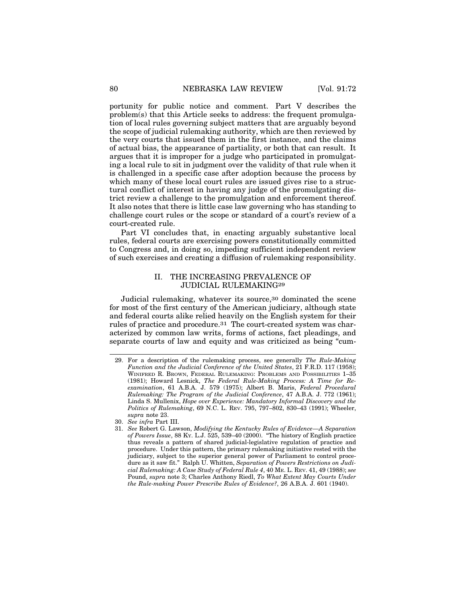portunity for public notice and comment. Part V describes the problem(s) that this Article seeks to address: the frequent promulgation of local rules governing subject matters that are arguably beyond the scope of judicial rulemaking authority, which are then reviewed by the very courts that issued them in the first instance, and the claims of actual bias, the appearance of partiality, or both that can result. It argues that it is improper for a judge who participated in promulgating a local rule to sit in judgment over the validity of that rule when it is challenged in a specific case after adoption because the process by which many of these local court rules are issued gives rise to a structural conflict of interest in having any judge of the promulgating district review a challenge to the promulgation and enforcement thereof. It also notes that there is little case law governing who has standing to challenge court rules or the scope or standard of a court's review of a court-created rule.

Part VI concludes that, in enacting arguably substantive local rules, federal courts are exercising powers constitutionally committed to Congress and, in doing so, impeding sufficient independent review of such exercises and creating a diffusion of rulemaking responsibility.

### II. THE INCREASING PREVALENCE OF JUDICIAL RULEMAKING29

Judicial rulemaking, whatever its source,30 dominated the scene for most of the first century of the American judiciary, although state and federal courts alike relied heavily on the English system for their rules of practice and procedure.31 The court-created system was characterized by common law writs, forms of actions, fact pleadings, and separate courts of law and equity and was criticized as being "cum-

<sup>29.</sup> For a description of the rulemaking process, see generally *The Rule-Making Function and the Judicial Conference of the United States*, 21 F.R.D. 117 (1958); WINIFRED R. BROWN, FEDERAL RULEMAKING: PROBLEMS AND POSSIBILITIES 1–35 (1981); Howard Lesnick, *The Federal Rule-Making Process: A Time for Reexamination*, 61 A.B.A. J. 579 (1975); Albert B. Maris, *Federal Procedural Rulemaking: The Program of the Judicial Conference*, 47 A.B.A. J. 772 (1961); Linda S. Mullenix, *Hope over Experience: Mandatory Informal Discovery and the Politics of Rulemaking*, 69 N.C. L. REV. 795, 797–802, 830–43 (1991); Wheeler, *supra* note 23.

<sup>30.</sup> *See infra* Part III.

<sup>31.</sup> *See* Robert G. Lawson, *Modifying the Kentucky Rules of Evidence—A Separation of Powers Issue*, 88 KY. L.J. 525, 539–40 (2000). "The history of English practice thus reveals a pattern of shared judicial-legislative regulation of practice and procedure. Under this pattern, the primary rulemaking initiative rested with the judiciary, subject to the superior general power of Parliament to control procedure as it saw fit." Ralph U. Whitten, *Separation of Powers Restrictions on Judicial Rulemaking: A Case Study of Federal Rule 4*, 40 ME. L. REV. 41, 49 (1988); *see* Pound, *supra* note 3; Charles Anthony Riedl, *To What Extent May Courts Under the Rule-making Power Prescribe Rules of Evidence?*, 26 A.B.A. J. 601 (1940).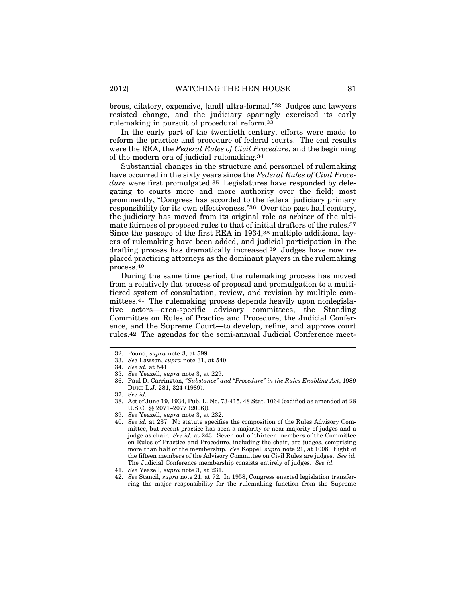brous, dilatory, expensive, [and] ultra-formal."32 Judges and lawyers resisted change, and the judiciary sparingly exercised its early rulemaking in pursuit of procedural reform.33

In the early part of the twentieth century, efforts were made to reform the practice and procedure of federal courts. The end results were the REA, the *Federal Rules of Civil Procedure*, and the beginning of the modern era of judicial rulemaking.34

Substantial changes in the structure and personnel of rulemaking have occurred in the sixty years since the *Federal Rules of Civil Procedure* were first promulgated.35 Legislatures have responded by delegating to courts more and more authority over the field; most prominently, "Congress has accorded to the federal judiciary primary responsibility for its own effectiveness."36 Over the past half century, the judiciary has moved from its original role as arbiter of the ultimate fairness of proposed rules to that of initial drafters of the rules.37 Since the passage of the first REA in 1934,38 multiple additional layers of rulemaking have been added, and judicial participation in the drafting process has dramatically increased.39 Judges have now replaced practicing attorneys as the dominant players in the rulemaking process.40

During the same time period, the rulemaking process has moved from a relatively flat process of proposal and promulgation to a multitiered system of consultation, review, and revision by multiple committees.41 The rulemaking process depends heavily upon nonlegislative actors—area-specific advisory committees, the Standing Committee on Rules of Practice and Procedure, the Judicial Conference, and the Supreme Court—to develop, refine, and approve court rules.42 The agendas for the semi-annual Judicial Conference meet-

- 39. *See* Yeazell, *supra* note 3, at 232.
- 40. *See id.* at 237. No statute specifies the composition of the Rules Advisory Committee, but recent practice has seen a majority or near-majority of judges and a judge as chair. *See id.* at 243. Seven out of thirteen members of the Committee on Rules of Practice and Procedure, including the chair, are judges, comprising more than half of the membership. *See* Koppel, *supra* note 21, at 1008. Eight of the fifteen members of the Advisory Committee on Civil Rules are judges. *See id.* The Judicial Conference membership consists entirely of judges. *See id.*
- 41. *See* Yeazell, *supra* note 3, at 231.
- 42. *See* Stancil, *supra* note 21, at 72. In 1958, Congress enacted legislation transferring the major responsibility for the rulemaking function from the Supreme

<sup>32.</sup> Pound, *supra* note 3, at 599.

<sup>33.</sup> *See* Lawson, *supra* note 31, at 540.

<sup>34.</sup> *See id.* at 541.

<sup>35.</sup> *See* Yeazell, *supra* note 3, at 229.

<sup>36.</sup> Paul D. Carrington, *"Substance" and "Procedure" in the Rules Enabling Act*, 1989 DUKE L.J. 281, 324 (1989).

<sup>37.</sup> *See id.*

<sup>38.</sup> Act of June 19, 1934, Pub. L. No. 73-415, 48 Stat. 1064 (codified as amended at 28 U.S.C. §§ 2071–2077 (2006)).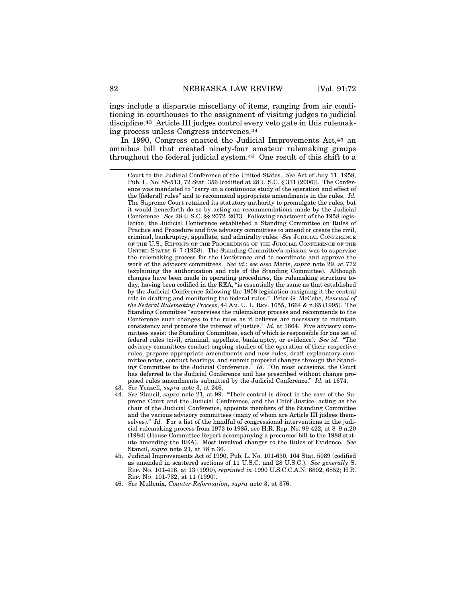ings include a disparate miscellany of items, ranging from air conditioning in courthouses to the assignment of visiting judges to judicial discipline.43 Article III judges control every veto gate in this rulemaking process unless Congress intervenes.44

In 1990, Congress enacted the Judicial Improvements Act,45 an omnibus bill that created ninety-four amateur rulemaking groups throughout the federal judicial system.46 One result of this shift to a

Court to the Judicial Conference of the United States. *See* Act of July 11, 1958, Pub. L. No. 85-513, 72 Stat. 356 (codified at 28 U.S.C. § 331 (2006)). The Conference was mandated to "carry on a continuous study of the operation and effect of the [federal] rules" and to recommend appropriate amendments in the rules. *Id.* The Supreme Court retained its statutory authority to promulgate the rules, but it would henceforth do so by acting on recommendations made by the Judicial Conference. *See* 28 U.S.C. §§ 2072–2073. Following enactment of the 1958 legislation, the Judicial Conference established a Standing Committee on Rules of Practice and Procedure and five advisory committees to amend or create the civil, criminal, bankruptcy, appellate, and admiralty rules. *See* JUDICIAL CONFERENCE OF THE U.S., REPORTS OF THE PROCEEDINGS OF THE JUDICIAL CONFERENCE OF THE UNITED STATES 6–7 (1958). The Standing Committee's mission was to supervise the rulemaking process for the Conference and to coordinate and approve the work of the advisory committees. *See id.*; *see also* Maris, *supra* note 29, at 772 (explaining the authorization and role of the Standing Committee). Although changes have been made in operating procedures, the rulemaking structure today, having been codified in the REA, "is essentially the same as that established by the Judicial Conference following the 1958 legislation assigning it the central role in drafting and monitoring the federal rules." Peter G. McCabe, *Renewal of the Federal Rulemaking Process*, 44 AM. U. L. REV. 1655, 1664 & n.65 (1995). The Standing Committee "supervises the rulemaking process and recommends to the Conference such changes to the rules as it believes are necessary to maintain consistency and promote the interest of justice." *Id.* at 1664. Five advisory committees assist the Standing Committee, each of which is responsible for one set of federal rules (civil, criminal, appellate, bankruptcy, or evidence). *See id*. "The advisory committees conduct ongoing studies of the operation of their respective rules, prepare appropriate amendments and new rules, draft explanatory committee notes, conduct hearings, and submit proposed changes through the Standing Committee to the Judicial Conference." *Id.* "On most occasions, the Court has deferred to the Judicial Conference and has prescribed without change proposed rules amendments submitted by the Judicial Conference." *Id.* at 1674.

- 43. *See* Yeazell, *supra* note 3, at 246.
- 44. *See* Stancil, *supra* note 21, at 99. "Their control is direct in the case of the Supreme Court and the Judicial Conference, and the Chief Justice, acting as the chair of the Judicial Conference, appoints members of the Standing Committee and the various advisory committees (many of whom are Article III judges themselves)." *Id.* For a list of the handful of congressional interventions in the judicial rulemaking process from 1973 to 1985, see H.R. Rep. No. 99-422, at 8–9 n.20 (1984) (House Committee Report accompanying a precursor bill to the 1988 statute amending the REA). Most involved changes to the Rules of Evidence. *See* Stancil, *supra* note 21, at 78 n.36.
- 45. Judicial Improvements Act of 1990, Pub. L. No. 101-650, 104 Stat. 5089 (codified as amended in scattered sections of 11 U.S.C. and 28 U.S.C.). *See generally* S. REP. NO. 101-416, at 13 (1990), *reprinted in* 1990 U.S.C.C.A.N. 6802, 6852; H.R. REP. NO. 101-732, at 11 (1990).
- 46. *See* Mullenix, *Counter-Reformation*, *supra* note 3, at 376.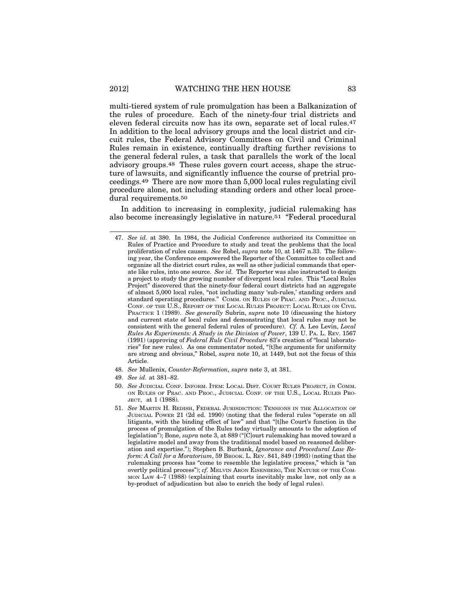multi-tiered system of rule promulgation has been a Balkanization of the rules of procedure. Each of the ninety-four trial districts and eleven federal circuits now has its own, separate set of local rules.47 In addition to the local advisory groups and the local district and circuit rules, the Federal Advisory Committees on Civil and Criminal Rules remain in existence, continually drafting further revisions to the general federal rules, a task that parallels the work of the local advisory groups.48 These rules govern court access, shape the structure of lawsuits, and significantly influence the course of pretrial proceedings.49 There are now more than 5,000 local rules regulating civil procedure alone, not including standing orders and other local procedural requirements.50

In addition to increasing in complexity, judicial rulemaking has also become increasingly legislative in nature.51 "Federal procedural

- 48. *See* Mullenix, *Counter-Reformation*, *supra* note 3, at 381.
- 49. *See id.* at 381–82.
- 50. *See* JUDICIAL CONF. INFORM. ITEM: LOCAL DIST. COURT RULES PROJECT, *in* COMM. ON RULES OF PRAC. AND PROC., JUDICIAL CONF. OF THE U.S., LOCAL RULES PRO-JECT, at 1 (1988).
- 51. *See* MARTIN H. REDISH, FEDERAL JURISDICTION: TENSIONS IN THE ALLOCATION OF JUDICIAL POWER 21 (2d ed. 1990) (noting that the federal rules "operate on all litigants, with the binding effect of law" and that "[t]he Court's function in the process of promulgation of the Rules today virtually amounts to the adoption of legislation"); Bone, *supra* note 3, at 889 ("[C]ourt rulemaking has moved toward a legislative model and away from the traditional model based on reasoned deliberation and expertise."); Stephen B. Burbank, *Ignorance and Procedural Law Reform: A Call for a Moratorium*, 59 BROOK. L. REV. 841, 849 (1993) (noting that the rulemaking process has "come to resemble the legislative process," which is "an overtly political process"); *cf.* MELVIN ARON EISENBERG, THE NATURE OF THE COM-MON LAW 4–7 (1988) (explaining that courts inevitably make law, not only as a by-product of adjudication but also to enrich the body of legal rules).

<sup>47.</sup> *See id.* at 380. In 1984, the Judicial Conference authorized its Committee on Rules of Practice and Procedure to study and treat the problems that the local proliferation of rules causes. *See* Robel, *supra* note 10, at 1467 n.33. The following year, the Conference empowered the Reporter of the Committee to collect and organize all the district court rules, as well as other judicial commands that operate like rules, into one source. *See id.* The Reporter was also instructed to design a project to study the growing number of divergent local rules. This "Local Rules Project" discovered that the ninety-four federal court districts had an aggregate of almost 5,000 local rules, "not including many 'sub-rules,' standing orders and standard operating procedures." COMM. ON RULES OF PRAC. AND PROC., JUDICIAL CONF. OF THE U.S., REPORT OF THE LOCAL RULES PROJECT: LOCAL RULES ON CIVIL PRACTICE 1 (1989). *See generally* Subrin, *supra* note 10 (discussing the history and current state of local rules and demonstrating that local rules may not be consistent with the general federal rules of procedure). *Cf.* A. Leo Levin, *Local Rules As Experiments: A Study in the Division of Power*, 139 U. PA. L. REV. 1567 (1991) (approving of *Federal Rule Civil Procedure* 83's creation of "local laboratories" for new rules). As one commentator noted, "[t]he arguments for uniformity are strong and obvious," Robel, *supra* note 10, at 1449, but not the focus of this Article.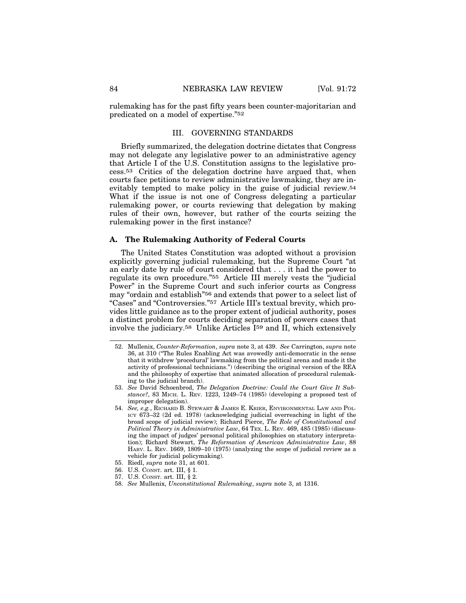rulemaking has for the past fifty years been counter-majoritarian and predicated on a model of expertise."52

## III. GOVERNING STANDARDS

Briefly summarized, the delegation doctrine dictates that Congress may not delegate any legislative power to an administrative agency that Article I of the U.S. Constitution assigns to the legislative process.53 Critics of the delegation doctrine have argued that, when courts face petitions to review administrative lawmaking, they are inevitably tempted to make policy in the guise of judicial review.54 What if the issue is not one of Congress delegating a particular rulemaking power, or courts reviewing that delegation by making rules of their own, however, but rather of the courts seizing the rulemaking power in the first instance?

#### **A. The Rulemaking Authority of Federal Courts**

The United States Constitution was adopted without a provision explicitly governing judicial rulemaking, but the Supreme Court "at an early date by rule of court considered that . . . it had the power to regulate its own procedure."55 Article III merely vests the "judicial Power" in the Supreme Court and such inferior courts as Congress may "ordain and establish"56 and extends that power to a select list of "Cases" and "Controversies."57 Article III's textual brevity, which provides little guidance as to the proper extent of judicial authority, poses a distinct problem for courts deciding separation of powers cases that involve the judiciary.58 Unlike Articles I59 and II, which extensively

- 52. Mullenix, *Counter-Reformation*, *supra* note 3, at 439. *See* Carrington, *supra* note 36, at 310 ("The Rules Enabling Act was avowedly anti-democratic in the sense that it withdrew 'procedural' lawmaking from the political arena and made it the activity of professional technicians.") (describing the original version of the REA and the philosophy of expertise that animated allocation of procedural rulemaking to the judicial branch).
- 53. *See* David Schoenbrod, *The Delegation Doctrine: Could the Court Give It Substance?*, 83 MICH. L. REV. 1223, 1249–74 (1985) (developing a proposed test of improper delegation).
- 54. *See, e.g.*, RICHARD B. STEWART & JAMES E. KRIER, ENVIRONMENTAL LAW AND POL-ICY 673–32 (2d ed. 1978) (acknowledging judicial overreaching in light of the broad scope of judicial review); Richard Pierce, *The Role of Constitutional and Political Theory in Administrative Law*, 64 TEX. L. REV. 469, 485 (1985) (discussing the impact of judges' personal political philosophies on statutory interpretation); Richard Stewart, *The Reformation of American Administrative Law*, 88 HARV. L. REV. 1669, 1809–10 (1975) (analyzing the scope of judicial review as a vehicle for judicial policymaking).
- 55. Riedl, *supra* note 31, at 601.
- 56. U.S. CONST. art. III, § 1.
- 57. U.S. CONST. art. III, § 2.
- 58. *See* Mullenix, *Unconstitutional Rulemaking*, *supra* note 3, at 1316.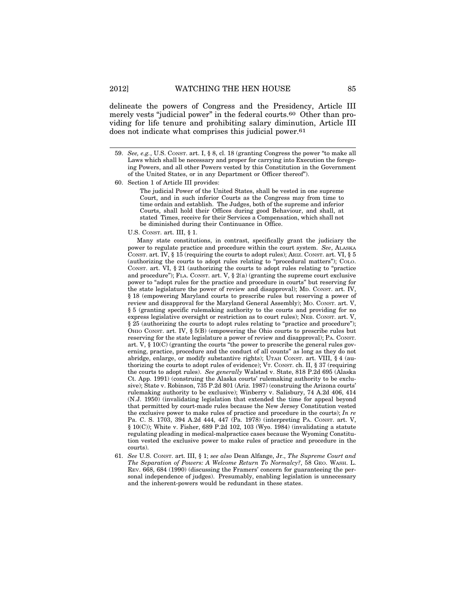delineate the powers of Congress and the Presidency, Article III merely vests "judicial power" in the federal courts.<sup>60</sup> Other than providing for life tenure and prohibiting salary diminution, Article III does not indicate what comprises this judicial power.<sup>61</sup>

60. Section 1 of Article III provides:

The judicial Power of the United States, shall be vested in one supreme Court, and in such inferior Courts as the Congress may from time to time ordain and establish. The Judges, both of the supreme and inferior Courts, shall hold their Offices during good Behaviour, and shall, at stated Times, receive for their Services a Compensation, which shall not be diminished during their Continuance in Office.

#### U.S. CONST. art. III, § 1.

Many state constitutions, in contrast, specifically grant the judiciary the power to regulate practice and procedure within the court system. *See*, ALASKA CONST. art. IV,  $\S 15$  (requiring the courts to adopt rules); ARIZ. CONST. art. VI,  $\S 5$ (authorizing the courts to adopt rules relating to "procedural matters"); COLO. CONST. art. VI, § 21 (authorizing the courts to adopt rules relating to "practice and procedure"); FLA. CONST. art. V,  $\S$  2(a) (granting the supreme court exclusive power to "adopt rules for the practice and procedure in courts" but reserving for the state legislature the power of review and disapproval); MD. CONST. art. IV, § 18 (empowering Maryland courts to prescribe rules but reserving a power of review and disapproval for the Maryland General Assembly); Mo. Consr. art. V, § 5 (granting specific rulemaking authority to the courts and providing for no express legislative oversight or restriction as to court rules); NEB. CONST. art. V, § 25 (authorizing the courts to adopt rules relating to "practice and procedure"); OHIO CONST. art. IV, § 5(B) (empowering the Ohio courts to prescribe rules but reserving for the state legislature a power of review and disapproval); PA. CONST. art. V, § 10(C) (granting the courts "the power to prescribe the general rules governing, practice, procedure and the conduct of all counts" as long as they do not abridge, enlarge, or modify substantive rights); UTAH CONST. art. VIII, § 4 (authorizing the courts to adopt rules of evidence); VT. CONST. ch. II,  $\S 37$  (requiring the courts to adopt rules). *See generally* Walstad v. State, 818 P.2d 695 (Alaska Ct. App. 1991) (construing the Alaska courts' rulemaking authority to be exclusive); State v. Robinson, 735 P.2d 801 (Ariz. 1987) (construing the Arizona courts' rulemaking authority to be exclusive); Winberry v. Salisbury, 74 A.2d 406, 414 (N.J. 1950) (invalidating legislation that extended the time for appeal beyond that permitted by court-made rules because the New Jersey Constitution vested the exclusive power to make rules of practice and procedure in the courts); *In re* Pa. C. S. 1703, 394 A.2d 444, 447 (Pa. 1978) (interpreting PA. CONST. art. V, § 10(C)); White v. Fisher, 689 P.2d 102, 103 (Wyo. 1984) (invalidating a statute regulating pleading in medical-malpractice cases because the Wyoming Constitution vested the exclusive power to make rules of practice and procedure in the courts).

61. *See* U.S. CONST. art. III, § 1; *see also* Dean Alfange, Jr., *The Supreme Court and The Separation of Powers: A Welcome Return To Normalcy?*, 58 GEO. WASH. L. REV. 668, 684 (1990) (discussing the Framers' concern for guaranteeing the personal independence of judges). Presumably, enabling legislation is unnecessary and the inherent-powers would be redundant in these states.

<sup>59.</sup> *See, e.g.*, U.S. CONST. art. I, § 8, cl. 18 (granting Congress the power "to make all Laws which shall be necessary and proper for carrying into Execution the foregoing Powers, and all other Powers vested by this Constitution in the Government of the United States, or in any Department or Officer thereof").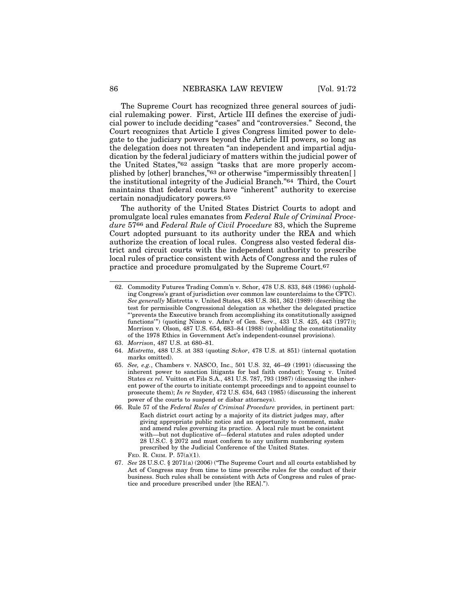The Supreme Court has recognized three general sources of judicial rulemaking power. First, Article III defines the exercise of judicial power to include deciding "cases" and "controversies." Second, the Court recognizes that Article I gives Congress limited power to delegate to the judiciary powers beyond the Article III powers, so long as the delegation does not threaten "an independent and impartial adjudication by the federal judiciary of matters within the judicial power of the United States,"62 assign "tasks that are more properly accomplished by [other] branches,"63 or otherwise "impermissibly threaten[ ] the institutional integrity of the Judicial Branch."64 Third, the Court maintains that federal courts have "inherent" authority to exercise certain nonadjudicatory powers.65

The authority of the United States District Courts to adopt and promulgate local rules emanates from *Federal Rule of Criminal Procedure* 5766 and *Federal Rule of Civil Procedure* 83, which the Supreme Court adopted pursuant to its authority under the REA and which authorize the creation of local rules. Congress also vested federal district and circuit courts with the independent authority to prescribe local rules of practice consistent with Acts of Congress and the rules of practice and procedure promulgated by the Supreme Court.67

- 63. *Morrison*, 487 U.S. at 680–81.
- 64. *Mistretta*, 488 U.S. at 383 (quoting *Schor*, 478 U.S. at 851) (internal quotation marks omitted).
- 65. *See, e.g.*, Chambers v. NASCO, Inc., 501 U.S. 32, 46–49 (1991) (discussing the inherent power to sanction litigants for bad faith conduct); Young v. United States *ex rel.* Vuitton et Fils S.A., 481 U.S. 787, 793 (1987) (discussing the inherent power of the courts to initiate contempt proceedings and to appoint counsel to prosecute them); *In re* Snyder, 472 U.S. 634, 643 (1985) (discussing the inherent power of the courts to suspend or disbar attorneys).
- 66. Rule 57 of the *Federal Rules of Criminal Procedure* provides, in pertinent part: Each district court acting by a majority of its district judges may, after giving appropriate public notice and an opportunity to comment, make and amend rules governing its practice. A local rule must be consistent with—but not duplicative of—federal statutes and rules adopted under 28 U.S.C. § 2072 and must conform to any uniform numbering system prescribed by the Judicial Conference of the United States. FED. R. CRIM. P. 57(a)(1).
- 67. *See* 28 U.S.C. § 2071(a) (2006) ("The Supreme Court and all courts established by Act of Congress may from time to time prescribe rules for the conduct of their business. Such rules shall be consistent with Acts of Congress and rules of practice and procedure prescribed under [the REA].").

<sup>62.</sup> Commodity Futures Trading Comm'n v. Schor, 478 U.S. 833, 848 (1986) (upholding Congress's grant of jurisdiction over common law counterclaims to the CFTC). *See generally* Mistretta v. United States, 488 U.S. 361, 362 (1989) (describing the test for permissible Congressional delegation as whether the delegated practice "'prevents the Executive branch from accomplishing its constitutionally assigned functions'") (quoting Nixon v. Adm'r of Gen. Serv., 433 U.S. 425, 443 (1977)); Morrison v. Olson, 487 U.S. 654, 683–84 (1988) (upholding the constitutionality of the 1978 Ethics in Government Act's independent-counsel provisions).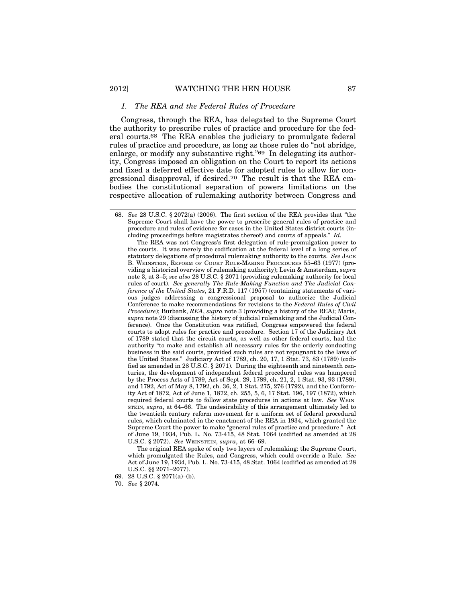#### *1. The REA and the Federal Rules of Procedure*

Congress, through the REA, has delegated to the Supreme Court the authority to prescribe rules of practice and procedure for the federal courts.68 The REA enables the judiciary to promulgate federal rules of practice and procedure, as long as those rules do "not abridge, enlarge, or modify any substantive right."69 In delegating its authority, Congress imposed an obligation on the Court to report its actions and fixed a deferred effective date for adopted rules to allow for congressional disapproval, if desired.70 The result is that the REA embodies the constitutional separation of powers limitations on the respective allocation of rulemaking authority between Congress and

The REA was not Congress's first delegation of rule-promulgation power to the courts. It was merely the codification at the federal level of a long series of statutory delegations of procedural rulemaking authority to the courts. *See* JACK B. WEINSTEIN, REFORM OF COURT RULE-MAKING PROCEDURES 55–63 (1977) (providing a historical overview of rulemaking authority); Levin & Amsterdam, *supra* note 3, at 3–5; *see also* 28 U.S.C. § 2071 (providing rulemaking authority for local rules of court). *See generally The Rule-Making Function and The Judicial Conference of the United States*, 21 F.R.D. 117 (1957) (containing statements of various judges addressing a congressional proposal to authorize the Judicial Conference to make recommendations for revisions to the *Federal Rules of Civil Procedure*); Burbank, *REA*, *supra* note 3 (providing a history of the REA); Maris, *supra* note 29 (discussing the history of judicial rulemaking and the Judicial Conference). Once the Constitution was ratified, Congress empowered the federal courts to adopt rules for practice and procedure. Section 17 of the Judiciary Act of 1789 stated that the circuit courts, as well as other federal courts, had the authority "to make and establish all necessary rules for the orderly conducting business in the said courts, provided such rules are not repugnant to the laws of the United States." Judiciary Act of 1789, ch. 20, 17, 1 Stat. 73, 83 (1789) (codified as amended in 28 U.S.C. § 2071). During the eighteenth and nineteenth centuries, the development of independent federal procedural rules was hampered by the Process Acts of 1789, Act of Sept. 29, 1789, ch. 21, 2, 1 Stat. 93, 93 (1789), and 1792, Act of May 8, 1792, ch. 36, 2, 1 Stat. 275, 276 (1792)*,* and the Conformity Act of 1872, Act of June 1, 1872, ch. 255, 5, 6, 17 Stat. 196, 197 (1872), which required federal courts to follow state procedures in actions at law. *See* WEIN-STEIN, *supra*, at 64–66. The undesirability of this arrangement ultimately led to the twentieth century reform movement for a uniform set of federal procedural rules, which culminated in the enactment of the REA in 1934, which granted the Supreme Court the power to make "general rules of practice and procedure." Act of June 19, 1934, Pub. L. No. 73-415, 48 Stat. 1064 (codified as amended at 28 U.S.C. § 2072). *See* WEINSTEIN, *supra*, at 66–69.

The original REA spoke of only two layers of rulemaking: the Supreme Court, which promulgated the Rules, and Congress, which could override a Rule. *See* Act of June 19, 1934, Pub. L. No. 73-415, 48 Stat. 1064 (codified as amended at 28 U.S.C. §§ 2071–2077).

<sup>68.</sup> *See* 28 U.S.C. § 2072(a) (2006). The first section of the REA provides that "the Supreme Court shall have the power to prescribe general rules of practice and procedure and rules of evidence for cases in the United States district courts (including proceedings before magistrates thereof) and courts of appeals." *Id.*

<sup>69. 28</sup> U.S.C. § 2071(a)–(b).

<sup>70.</sup> *See* § 2074.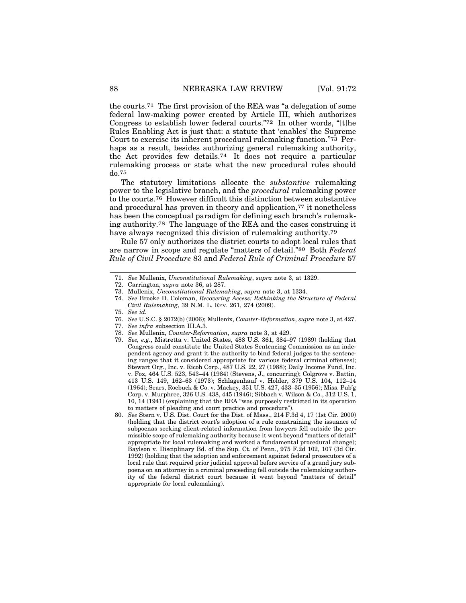the courts.71 The first provision of the REA was "a delegation of some federal law-making power created by Article III, which authorizes Congress to establish lower federal courts."72 In other words, "[t]he Rules Enabling Act is just that: a statute that 'enables' the Supreme Court to exercise its inherent procedural rulemaking function."73 Perhaps as a result, besides authorizing general rulemaking authority, the Act provides few details.74 It does not require a particular rulemaking process or state what the new procedural rules should do.75

The statutory limitations allocate the *substantive* rulemaking power to the legislative branch, and the *procedural* rulemaking power to the courts.76 However difficult this distinction between substantive and procedural has proven in theory and application,<sup>77</sup> it nonetheless has been the conceptual paradigm for defining each branch's rulemaking authority.78 The language of the REA and the cases construing it have always recognized this division of rulemaking authority.<sup>79</sup>

Rule 57 only authorizes the district courts to adopt local rules that are narrow in scope and regulate "matters of detail."80 Both *Federal Rule of Civil Procedure* 83 and *Federal Rule of Criminal Procedure* 57

- 78. *See* Mullenix, *Counter-Reformation*, *supra* note 3, at 429.
- 79. *See, e.g*., Mistretta v. United States, 488 U.S. 361, 384–97 (1989) (holding that Congress could constitute the United States Sentencing Commission as an independent agency and grant it the authority to bind federal judges to the sentencing ranges that it considered appropriate for various federal criminal offenses); Stewart Org., Inc. v. Ricoh Corp., 487 U.S. 22, 27 (1988); Daily Income Fund, Inc. v. Fox, 464 U.S. 523, 543–44 (1984) (Stevens, J., concurring); Colgrove v. Battin, 413 U.S. 149, 162–63 (1973); Schlagenhauf v. Holder, 379 U.S. 104, 112–14 (1964); Sears, Roebuck & Co. v. Mackey, 351 U.S. 427, 433–35 (1956); Miss. Pub'g Corp. v. Murphree, 326 U.S. 438, 445 (1946); Sibbach v. Wilson & Co., 312 U.S. 1, 10, 14 (1941) (explaining that the REA "was purposely restricted in its operation to matters of pleading and court practice and procedure").
- 80. *See* Stern v. U.S. Dist. Court for the Dist. of Mass., 214 F.3d 4, 17 (1st Cir. 2000) (holding that the district court's adoption of a rule constraining the issuance of subpoenas seeking client-related information from lawyers fell outside the permissible scope of rulemaking authority because it went beyond "matters of detail" appropriate for local rulemaking and worked a fundamental procedural change); Baylson v. Disciplinary Bd. of the Sup. Ct. of Penn., 975 F.2d 102, 107 (3d Cir. 1992) (holding that the adoption and enforcement against federal prosecutors of a local rule that required prior judicial approval before service of a grand jury subpoena on an attorney in a criminal proceeding fell outside the rulemaking authority of the federal district court because it went beyond "matters of detail" appropriate for local rulemaking).

<sup>71.</sup> *See* Mullenix, *Unconstitutional Rulemaking*, *supra* note 3, at 1329.

<sup>72.</sup> Carrington, *supra* note 36, at 287.

<sup>73.</sup> Mullenix, *Unconstitutional Rulemaking*, *supra* note 3, at 1334.

<sup>74.</sup> *See* Brooke D. Coleman, *Recovering Access: Rethinking the Structure of Federal Civil Rulemaking*, 39 N.M. L. REV. 261, 274 (2009).

<sup>75.</sup> *See id.*

<sup>76.</sup> *See* U.S.C. § 2072(b) (2006); Mullenix, *Counter-Reformation*, *supra* note 3, at 427.

<sup>77.</sup> *See infra* subsection III.A.3.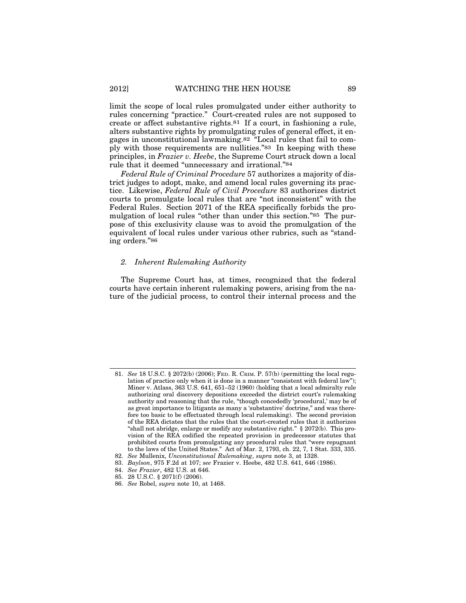limit the scope of local rules promulgated under either authority to rules concerning "practice." Court-created rules are not supposed to create or affect substantive rights.81 If a court, in fashioning a rule, alters substantive rights by promulgating rules of general effect, it engages in unconstitutional lawmaking.82 "Local rules that fail to comply with those requirements are nullities."83 In keeping with these principles, in *Frazier v. Heebe*, the Supreme Court struck down a local rule that it deemed "unnecessary and irrational."84

*Federal Rule of Criminal Procedure* 57 authorizes a majority of district judges to adopt, make, and amend local rules governing its practice. Likewise, *Federal Rule of Civil Procedure* 83 authorizes district courts to promulgate local rules that are "not inconsistent" with the Federal Rules. Section 2071 of the REA specifically forbids the promulgation of local rules "other than under this section."85 The purpose of this exclusivity clause was to avoid the promulgation of the equivalent of local rules under various other rubrics, such as "standing orders."86

#### *2. Inherent Rulemaking Authority*

The Supreme Court has, at times, recognized that the federal courts have certain inherent rulemaking powers, arising from the nature of the judicial process, to control their internal process and the

<sup>81.</sup> *See* 18 U.S.C. § 2072(b) (2006); FED. R. CRIM. P. 57(b) (permitting the local regulation of practice only when it is done in a manner "consistent with federal law"); Miner v. Atlass, 363 U.S. 641, 651–52 (1960) (holding that a local admiralty rule authorizing oral discovery depositions exceeded the district court's rulemaking authority and reasoning that the rule, "though concededly 'procedural,' may be of as great importance to litigants as many a 'substantive' doctrine," and was therefore too basic to be effectuated through local rulemaking). The second provision of the REA dictates that the rules that the court-created rules that it authorizes "shall not abridge, enlarge or modify any substantive right." § 2072(b). This provision of the REA codified the repeated provision in predecessor statutes that prohibited courts from promulgating any procedural rules that "were repugnant to the laws of the United States." Act of Mar. 2, 1793, ch. 22, 7, 1 Stat. 333, 335.

<sup>82.</sup> *See* Mullenix, *Unconstitutional Rulemaking*, *supra* note 3, at 1328. 83. *Baylson*, 975 F.2d at 107; *see* Frazier v. Heebe, 482 U.S. 641, 646 (1986).

<sup>84.</sup> *See Frazier*, 482 U.S. at 646.

<sup>85. 28</sup> U.S.C. § 2071(f) (2006).

<sup>86.</sup> *See* Robel, *supra* note 10, at 1468.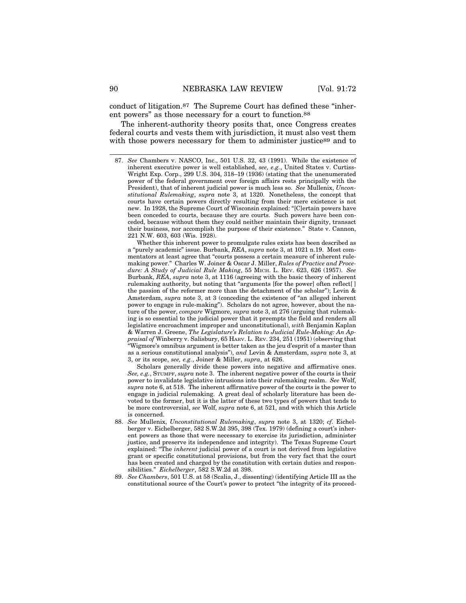conduct of litigation.87 The Supreme Court has defined these "inherent powers" as those necessary for a court to function.88

The inherent-authority theory posits that, once Congress creates federal courts and vests them with jurisdiction, it must also vest them with those powers necessary for them to administer justice<sup>89</sup> and to

87. *See* Chambers v. NASCO, Inc., 501 U.S. 32, 43 (1991). While the existence of inherent executive power is well established, *see, e.g.*, United States v. Curtiss-Wright Exp. Corp., 299 U.S. 304, 318–19 (1936) (stating that the unenumerated power of the federal government over foreign affairs rests principally with the President), that of inherent judicial power is much less so. *See* Mullenix, *Unconstitutional Rulemaking*, *supra* note 3, at 1320. Nonetheless, the concept that courts have certain powers directly resulting from their mere existence is not new. In 1928, the Supreme Court of Wisconsin explained: "[C]ertain powers have been conceded to courts, because they are courts. Such powers have been conceded, because without them they could neither maintain their dignity, transact their business, nor accomplish the purpose of their existence." State v. Cannon, 221 N.W. 603, 603 (Wis. 1928).

Whether this inherent power to promulgate rules exists has been described as a "purely academic" issue. Burbank, *REA*, *supra* note 3, at 1021 n.19. Most commentators at least agree that "courts possess a certain measure of inherent rulemaking power." Charles W. Joiner & Oscar J. Miller, *Rules of Practice and Procedure: A Study of Judicial Rule Making*, 55 MICH. L. REV. 623, 626 (1957). *See* Burbank, *REA*, *supra* note 3, at 1116 (agreeing with the basic theory of inherent rulemaking authority, but noting that "arguments [for the power] often reflect[ ] the passion of the reformer more than the detachment of the scholar"); Levin & Amsterdam, *supra* note 3, at 3 (conceding the existence of "an alleged inherent power to engage in rule-making"). Scholars do not agree, however, about the nature of the power, *compare* Wigmore, *supra* note 3, at 276 (arguing that rulemaking is so essential to the judicial power that it preempts the field and renders all legislative encroachment improper and unconstitutional), *with* Benjamin Kaplan & Warren J. Greene, *The Legislature's Relation to Judicial Rule-Making: An Appraisal of* Winberry v. Salisbury, 65 HARV. L. REV. 234, 251 (1951) (observing that "Wigmore's omnibus argument is better taken as the jeu d'esprit of a master than as a serious constitutional analysis"), *and* Levin & Amsterdam, *supra* note 3, at 3, or its scope, *see, e.g.*, Joiner & Miller, *supra*, at 626.

Scholars generally divide these powers into negative and affirmative ones. *See, e.g.*, STUMPF, *supra* note 3. The inherent negative power of the courts is their power to invalidate legislative intrusions into their rulemaking realm. *See* Wolf, *supra* note 6, at 518. The inherent affirmative power of the courts is the power to engage in judicial rulemaking. A great deal of scholarly literature has been devoted to the former, but it is the latter of these two types of powers that tends to be more controversial, *see* Wolf, *supra* note 6, at 521, and with which this Article is concerned.

- 88. *See* Mullenix, *Unconstitutional Rulemaking*, *supra* note 3, at 1320; *cf.* Eichelberger v. Eichelberger, 582 S.W.2d 395, 398 (Tex. 1979) (defining a court's inherent powers as those that were necessary to exercise its jurisdiction, administer justice, and preserve its independence and integrity). The Texas Supreme Court explained: "The *inherent* judicial power of a court is not derived from legislative grant or specific constitutional provisions, but from the very fact that the court has been created and charged by the constitution with certain duties and responsibilities." *Eichelberger*, 582 S.W.2d at 398.
- 89. *See Chambers*, 501 U.S. at 58 (Scalia, J., dissenting) (identifying Article III as the constitutional source of the Court's power to protect "the integrity of its proceed-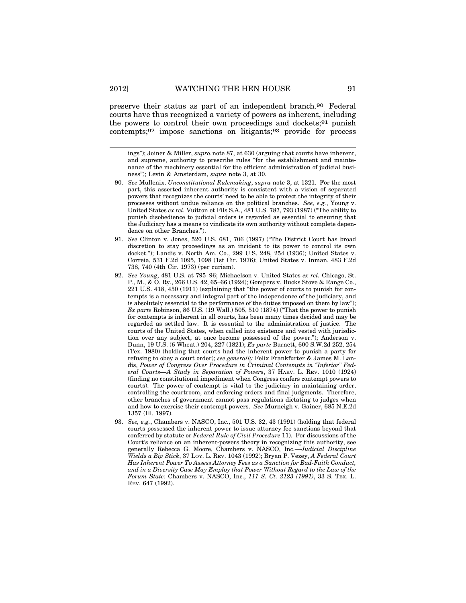#### 2012] WATCHING THE HEN HOUSE 91

preserve their status as part of an independent branch.90 Federal courts have thus recognized a variety of powers as inherent, including the powers to control their own proceedings and dockets;91 punish contempts;92 impose sanctions on litigants;93 provide for process

ings"); Joiner & Miller, *supra* note 87, at 630 (arguing that courts have inherent, and supreme, authority to prescribe rules "for the establishment and maintenance of the machinery essential for the efficient administration of judicial business"); Levin & Amsterdam, *supra* note 3, at 30*.*

- 90. *See* Mullenix, *Unconstitutional Rulemaking*, *supra* note 3, at 1321. For the most part, this asserted inherent authority is consistent with a vision of separated powers that recognizes the courts' need to be able to protect the integrity of their processes without undue reliance on the political branches. *See, e.g.*, Young v. United States *ex rel.* Vuitton et Fils S.A., 481 U.S. 787, 793 (1987) ("The ability to punish disobedience to judicial orders is regarded as essential to ensuring that the Judiciary has a means to vindicate its own authority without complete dependence on other Branches.").
- 91. *See* Clinton v. Jones, 520 U.S. 681, 706 (1997) ("The District Court has broad discretion to stay proceedings as an incident to its power to control its own docket."); Landis v. North Am. Co., 299 U.S. 248, 254 (1936); United States v. Correia, 531 F.2d 1095, 1098 (1st Cir. 1976); United States v. Inman, 483 F.2d 738, 740 (4th Cir. 1973) (per curiam).
- 92. *See Young*, 481 U.S. at 795–96; Michaelson v. United States *ex rel.* Chicago, St. P., M., & O. Ry., 266 U.S. 42, 65–66 (1924); Gompers v. Bucks Stove & Range Co., 221 U.S. 418, 450 (1911) (explaining that "the power of courts to punish for contempts is a necessary and integral part of the independence of the judiciary, and is absolutely essential to the performance of the duties imposed on them by law"); *Ex parte* Robinson, 86 U.S. (19 Wall.) 505, 510 (1874) ("That the power to punish for contempts is inherent in all courts, has been many times decided and may be regarded as settled law. It is essential to the administration of justice. The courts of the United States, when called into existence and vested with jurisdiction over any subject, at once become possessed of the power."); Anderson v. Dunn, 19 U.S. (6 Wheat.) 204, 227 (1821); *Ex parte* Barnett, 600 S.W.2d 252, 254 (Tex. 1980) (holding that courts had the inherent power to punish a party for refusing to obey a court order); *see generally* Felix Frankfurter & James M. Landis, *Power of Congress Over Procedure in Criminal Contempts in "Inferior" Federal Courts—A Study in Separation of Powers*, 37 HARV. L. REV. 1010 (1924) (finding no constitutional impediment when Congress confers contempt powers to courts). The power of contempt is vital to the judiciary in maintaining order, controlling the courtroom, and enforcing orders and final judgments. Therefore, other branches of government cannot pass regulations dictating to judges when and how to exercise their contempt powers. *See* Murneigh v. Gainer, 685 N.E.2d 1357 (Ill. 1997).
- 93. *See, e.g.*, Chambers v. NASCO, Inc., 501 U.S. 32, 43 (1991) (holding that federal courts possessed the inherent power to issue attorney fee sanctions beyond that conferred by statute or *Federal Rule of Civil Procedure* 11). For discussions of the Court's reliance on an inherent-powers theory in recognizing this authority, see generally Rebecca G. Moore, Chambers v. NASCO, Inc.—*Judicial Discipline Wields a Big Stick*, 37 LOY. L. REV. 1043 (1992); Bryan P. Vezey, *A Federal Court Has Inherent Power To Assess Attorney Fees as a Sanction for Bad-Faith Conduct, and in a Diversity Case May Employ that Power Without Regard to the Law of the Forum State:* Chambers v. NASCO, Inc., *111 S. Ct. 2123 (1991)*, 33 S. TEX. L. REV. 647 (1992).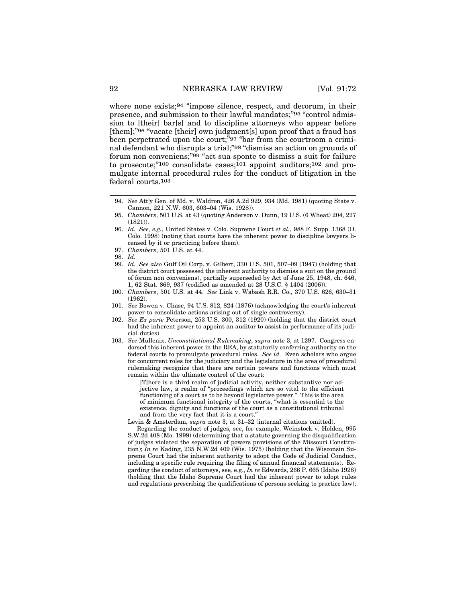where none exists;94 "impose silence, respect, and decorum, in their presence, and submission to their lawful mandates;"95 "control admission to [their] bar[s] and to discipline attorneys who appear before [them];"96 "vacate [their] own judgment[s] upon proof that a fraud has been perpetrated upon the court;"97 "bar from the courtroom a criminal defendant who disrupts a trial;"98 "dismiss an action on grounds of forum non conveniens;"99 "act sua sponte to dismiss a suit for failure to prosecute;"100 consolidate cases;101 appoint auditors;102 and promulgate internal procedural rules for the conduct of litigation in the federal courts.103

- 97. *Chambers*, 501 U.S. at 44.
- 98. *Id.*
- 99. *Id. See also* Gulf Oil Corp. v. Gilbert, 330 U.S. 501, 507–09 (1947) (holding that the district court possessed the inherent authority to dismiss a suit on the ground of forum non conveniens), partially superseded by Act of June 25, 1948, ch. 646, 1, 62 Stat. 869, 937 (codified as amended at 28 U.S.C. § 1404 (2006)).
- 100. *Chambers*, 501 U.S. at 44. *See* Link v. Wabash R.R. Co., 370 U.S. 626, 630–31 (1962).
- 101. *See* Bowen v. Chase, 94 U.S. 812, 824 (1876) (acknowledging the court's inherent power to consolidate actions arising out of single controversy).
- 102. *See Ex parte* Peterson, 253 U.S. 300, 312 (1920) (holding that the district court had the inherent power to appoint an auditor to assist in performance of its judicial duties).
- 103. *See* Mullenix, *Unconstitutional Rulemaking*, *supra* note 3, at 1297. Congress endorsed this inherent power in the REA, by statutorily conferring authority on the federal courts to promulgate procedural rules. *See id.* Even scholars who argue for concurrent roles for the judiciary and the legislature in the area of procedural rulemaking recognize that there are certain powers and functions which must remain within the ultimate control of the court:

[T]here is a third realm of judicial activity, neither substantive nor adjective law, a realm of "proceedings which are so vital to the efficient functioning of a court as to be beyond legislative power." This is the area of minimum functional integrity of the courts, "what is essential to the existence, dignity and functions of the court as a constitutional tribunal and from the very fact that it is a court."

Levin & Amsterdam, *supra* note 3, at 31–32 (internal citations omitted).

Regarding the conduct of judges, see, for example, Weinstock v. Holden, 995 S.W.2d 408 (Mo. 1999) (determining that a statute governing the disqualification of judges violated the separation of powers provisions of the Missouri Constitution); *In re* Kading, 235 N.W.2d 409 (Wis. 1975) (holding that the Wisconsin Supreme Court had the inherent authority to adopt the Code of Judicial Conduct, including a specific rule requiring the filing of annual financial statements). Regarding the conduct of attorneys, see*,* e.g., *In re* Edwards, 266 P. 665 (Idaho 1928) (holding that the Idaho Supreme Court had the inherent power to adopt rules and regulations prescribing the qualifications of persons seeking to practice law);

<sup>94.</sup> *See* Att'y Gen. of Md. v. Waldron, 426 A.2d 929, 934 (Md. 1981) (quoting State v. Cannon, 221 N.W. 603, 603–04 (Wis. 1928)).

<sup>95.</sup> *Chambers*, 501 U.S. at 43 (quoting Anderson v. Dunn, 19 U.S. (6 Wheat) 204, 227 (1821)).

<sup>96.</sup> *Id. See, e.g.*, United States v. Colo. Supreme Court *et al.*, 988 F. Supp. 1368 (D. Colo. 1998) (noting that courts have the inherent power to discipline lawyers licensed by it or practicing before them).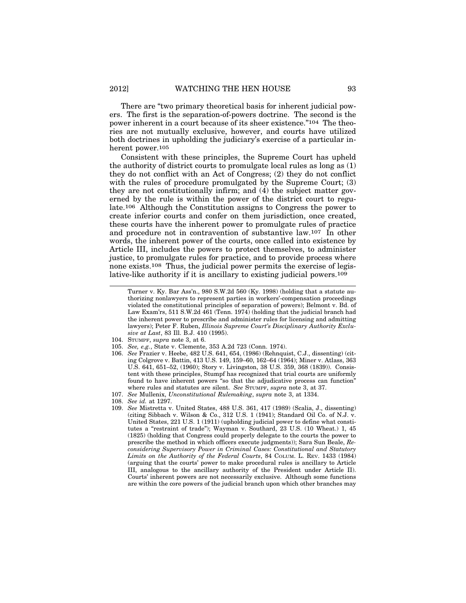There are "two primary theoretical basis for inherent judicial powers. The first is the separation-of-powers doctrine. The second is the power inherent in a court because of its sheer existence."104 The theories are not mutually exclusive, however, and courts have utilized both doctrines in upholding the judiciary's exercise of a particular inherent power.105

Consistent with these principles, the Supreme Court has upheld the authority of district courts to promulgate local rules as long as (1) they do not conflict with an Act of Congress; (2) they do not conflict with the rules of procedure promulgated by the Supreme Court; (3) they are not constitutionally infirm; and (4) the subject matter governed by the rule is within the power of the district court to regulate.106 Although the Constitution assigns to Congress the power to create inferior courts and confer on them jurisdiction, once created, these courts have the inherent power to promulgate rules of practice and procedure not in contravention of substantive law.107 In other words, the inherent power of the courts, once called into existence by Article III, includes the powers to protect themselves, to administer justice, to promulgate rules for practice, and to provide process where none exists.108 Thus, the judicial power permits the exercise of legislative-like authority if it is ancillary to existing judicial powers.109

- 104. STUMPF, *supra* note 3, at 6.
- 105. *See, e.g.*, State v. Clemente, 353 A.2d 723 (Conn. 1974).
- 106. *See* Frazier v. Heebe, 482 U.S. 641, 654, (1986) (Rehnquist, C.J., dissenting) (citing Colgrove v. Battin, 413 U.S. 149, 159–60, 162–64 (1964); Miner v. Atlass, 363 U.S. 641, 651–52, (1960); Story v. Livingston, 38 U.S. 359, 368 (1839)). Consistent with these principles, Stumpf has recognized that trial courts are uniformly found to have inherent powers "so that the adjudicative process can function" where rules and statutes are silent. *See* STUMPF, *supra* note 3, at 37.
- 107. *See* Mullenix, *Unconstitutional Rulemaking*, *supra* note 3, at 1334.
- 108. *See id.* at 1297.
- 109. *See* Mistretta v. United States, 488 U.S. 361, 417 (1989) (Scalia, J., dissenting) (citing Sibbach v. Wilson & Co., 312 U.S. 1 (1941); Standard Oil Co. of N.J. v. United States, 221 U.S. 1 (1911) (upholding judicial power to define what constitutes a "restraint of trade"); Wayman v. Southard, 23 U.S. (10 Wheat.) 1, 45 (1825) (holding that Congress could properly delegate to the courts the power to prescribe the method in which officers execute judgments)); Sara Sun Beale, *Reconsidering Supervisory Power in Criminal Cases: Constitutional and Statutory Limits on the Authority of the Federal Courts*, 84 COLUM. L. REV. 1433 (1984) (arguing that the courts' power to make procedural rules is ancillary to Article III, analogous to the ancillary authority of the President under Article II). Courts' inherent powers are not necessarily exclusive. Although some functions are within the core powers of the judicial branch upon which other branches may

Turner v. Ky. Bar Ass'n., 980 S.W.2d 560 (Ky. 1998) (holding that a statute authorizing nonlawyers to represent parties in workers'-compensation proceedings violated the constitutional principles of separation of powers); Belmont v. Bd. of Law Exam'rs, 511 S.W.2d 461 (Tenn. 1974) (holding that the judicial branch had the inherent power to prescribe and administer rules for licensing and admitting lawyers); Peter F. Ruben, *Illinois Supreme Court's Disciplinary Authority Exclusive at Last*, 83 Ill. B.J. 410 (1995).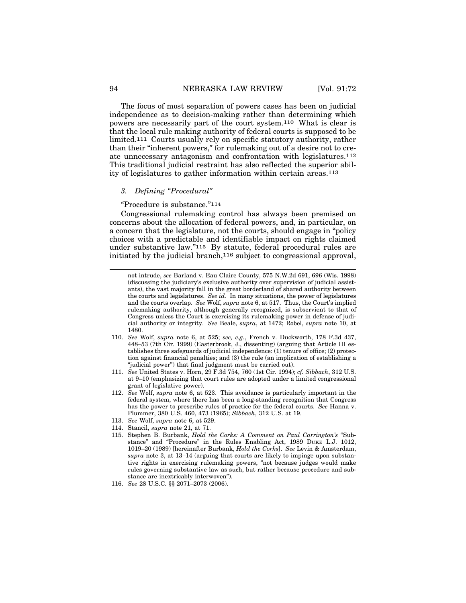The focus of most separation of powers cases has been on judicial independence as to decision-making rather than determining which powers are necessarily part of the court system.110 What is clear is that the local rule making authority of federal courts is supposed to be limited.111 Courts usually rely on specific statutory authority, rather than their "inherent powers," for rulemaking out of a desire not to create unnecessary antagonism and confrontation with legislatures.112 This traditional judicial restraint has also reflected the superior ability of legislatures to gather information within certain areas.113

#### *3. Defining "Procedural"*

"Procedure is substance."114

Congressional rulemaking control has always been premised on concerns about the allocation of federal powers, and, in particular, on a concern that the legislature, not the courts, should engage in "policy choices with a predictable and identifiable impact on rights claimed under substantive law."115 By statute, federal procedural rules are initiated by the judicial branch,116 subject to congressional approval,

- 110. *See* Wolf, *supra* note 6, at 525; *see, e.g.*, French v. Duckworth, 178 F.3d 437, 448–53 (7th Cir. 1999) (Easterbrook, J., dissenting) (arguing that Article III establishes three safeguards of judicial independence: (1) tenure of office; (2) protection against financial penalties; and (3) the rule (an implication of establishing a "judicial power") that final judgment must be carried out).
- 111. *See* United States v. Horn, 29 F.3d 754, 760 (1st Cir. 1994); *cf. Sibbach*, 312 U.S. at 9–10 (emphasizing that court rules are adopted under a limited congressional grant of legislative power).
- 112. *See* Wolf, *supra* note 6, at 523. This avoidance is particularly important in the federal system, where there has been a long-standing recognition that Congress has the power to prescribe rules of practice for the federal courts. *See* Hanna v. Plummer, 380 U.S. 460, 473 (1965); *Sibbach*, 312 U.S. at 19.
- 113. *See* Wolf, *supra* note 6, at 529.
- 114. Stancil, *supra* note 21, at 71.
- 115. Stephen B. Burbank, *Hold the Corks: A Comment on Paul Carrington's* "Substance" and "Procedure" in the Rules Enabling Act, 1989 DUKE L.J. 1012, 1019–20 (1989) [hereinafter Burbank, *Hold the Corks*]. *See* Levin & Amsterdam, *supra* note 3, at 13–14 (arguing that courts are likely to impinge upon substantive rights in exercising rulemaking powers, "not because judges would make rules governing substantive law as such, but rather because procedure and substance are inextricably interwoven").
- 116. *See* 28 U.S.C. §§ 2071–2073 (2006).

not intrude, *see* Barland v. Eau Claire County, 575 N.W.2d 691, 696 (Wis. 1998) (discussing the judiciary's exclusive authority over supervision of judicial assistants), the vast majority fall in the great borderland of shared authority between the courts and legislatures. *See id.* In many situations, the power of legislatures and the courts overlap. *See* Wolf, *supra* note 6, at 517. Thus, the Court's implied rulemaking authority, although generally recognized, is subservient to that of Congress unless the Court is exercising its rulemaking power in defense of judicial authority or integrity. *See* Beale, *supra*, at 1472; Robel, *supra* note 10, at 1480.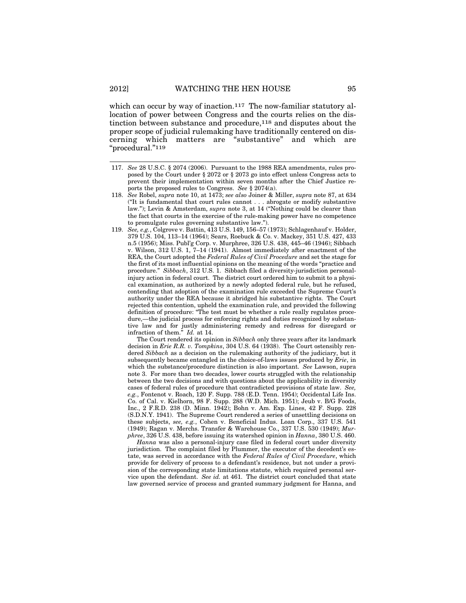#### 2012] WATCHING THE HEN HOUSE 95

which can occur by way of inaction.<sup>117</sup> The now-familiar statutory allocation of power between Congress and the courts relies on the distinction between substance and procedure,118 and disputes about the proper scope of judicial rulemaking have traditionally centered on discerning which matters are "substantive" and which are "procedural."119

- 117. *See* 28 U.S.C. § 2074 (2006). Pursuant to the 1988 REA amendments, rules proposed by the Court under § 2072 or § 2073 go into effect unless Congress acts to prevent their implementation within seven months after the Chief Justice reports the proposed rules to Congress. *See* § 2074(a).
- 118. *See* Robel, *supra* note 10, at 1473; *see also* Joiner & Miller, *supra* note 87, at 634 ("It is fundamental that court rules cannot . . . abrogate or modify substantive law."); Levin & Amsterdam, *supra* note 3, at 14 ("Nothing could be clearer than the fact that courts in the exercise of the rule-making power have no competence to promulgate rules governing substantive law.").
- 119. *See, e.g.*, Colgrove v. Battin, 413 U.S. 149, 156–57 (1973); Schlagenhauf v. Holder, 379 U.S. 104, 113–14 (1964); Sears, Roebuck & Co. v. Mackey, 351 U.S. 427, 433 n.5 (1956); Miss. Publ'g Corp. v. Murphree, 326 U.S. 438, 445–46 (1946); Sibbach v. Wilson, 312 U.S. 1, 7–14 (1941). Almost immediately after enactment of the REA, the Court adopted the *Federal Rules of Civil Procedure* and set the stage for the first of its most influential opinions on the meaning of the words "practice and procedure." *Sibbach*, 312 U.S. 1. Sibbach filed a diversity-jurisdiction personalinjury action in federal court. The district court ordered him to submit to a physical examination, as authorized by a newly adopted federal rule, but he refused, contending that adoption of the examination rule exceeded the Supreme Court's authority under the REA because it abridged his substantive rights. The Court rejected this contention, upheld the examination rule, and provided the following definition of procedure: "The test must be whether a rule really regulates procedure,—the judicial process for enforcing rights and duties recognized by substantive law and for justly administering remedy and redress for disregard or infraction of them." *Id.* at 14.

The Court rendered its opinion in *Sibbach* only three years after its landmark decision in *Erie R.R. v. Tompkins*, 304 U.S. 64 (1938). The Court ostensibly rendered *Sibbach* as a decision on the rulemaking authority of the judiciary, but it subsequently became entangled in the choice-of-laws issues produced by *Erie*, in which the substance/procedure distinction is also important. *See* Lawson, supra note 3. For more than two decades, lower courts struggled with the relationship between the two decisions and with questions about the applicability in diversity cases of federal rules of procedure that contradicted provisions of state law. *See, e.g.*, Fontenot v. Roach, 120 F. Supp. 788 (E.D. Tenn. 1954); Occidental Life Ins. Co. of Cal. v. Kielhorn, 98 F. Supp. 288 (W.D. Mich. 1951); Jeub v. B/G Foods, Inc., 2 F.R.D. 238 (D. Minn. 1942); Bohn v. Am. Exp. Lines, 42 F. Supp. 228 (S.D.N.Y. 1941). The Supreme Court rendered a series of unsettling decisions on these subjects, *see, e.g.*, Cohen v. Beneficial Indus. Loan Corp., 337 U.S. 541 (1949); Ragan v. Merchs. Transfer & Warehouse Co., 337 U.S. 530 (1949); *Murphree*, 326 U.S. 438, before issuing its watershed opinion in *Hanna*, 380 U.S. 460.

*Hanna* was also a personal-injury case filed in federal court under diversity jurisdiction. The complaint filed by Plummer, the executor of the decedent's estate, was served in accordance with the *Federal Rules of Civil Procedure*, which provide for delivery of process to a defendant's residence, but not under a provision of the corresponding state limitations statute, which required personal service upon the defendant. *See id.* at 461. The district court concluded that state law governed service of process and granted summary judgment for Hanna, and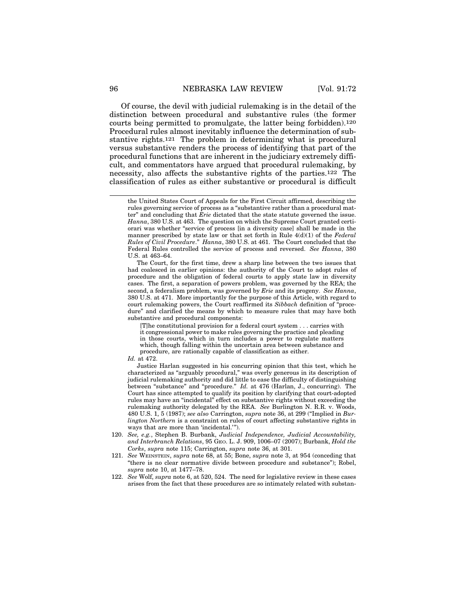Of course, the devil with judicial rulemaking is in the detail of the distinction between procedural and substantive rules (the former courts being permitted to promulgate, the latter being forbidden).120 Procedural rules almost inevitably influence the determination of substantive rights.121 The problem in determining what is procedural versus substantive renders the process of identifying that part of the procedural functions that are inherent in the judiciary extremely difficult, and commentators have argued that procedural rulemaking, by necessity, also affects the substantive rights of the parties.122 The classification of rules as either substantive or procedural is difficult

The Court, for the first time, drew a sharp line between the two issues that had coalesced in earlier opinions: the authority of the Court to adopt rules of procedure and the obligation of federal courts to apply state law in diversity cases. The first, a separation of powers problem, was governed by the REA; the second, a federalism problem, was governed by *Erie* and its progeny. *See Hanna*, 380 U.S. at 471. More importantly for the purpose of this Article, with regard to court rulemaking powers, the Court reaffirmed its *Sibbach* definition of "procedure" and clarified the means by which to measure rules that may have both substantive and procedural components:

[T]he constitutional provision for a federal court system . . . carries with it congressional power to make rules governing the practice and pleading in those courts, which in turn includes a power to regulate matters which, though falling within the uncertain area between substance and procedure, are rationally capable of classification as either.

*Id.* at 472.

Justice Harlan suggested in his concurring opinion that this test, which he characterized as "arguably procedural," was overly generous in its description of judicial rulemaking authority and did little to ease the difficulty of distinguishing between "substance" and "procedure." *Id.* at 476 (Harlan, J., concurring). The Court has since attempted to qualify its position by clarifying that court-adopted rules may have an "incidental" effect on substantive rights without exceeding the rulemaking authority delegated by the REA. *See* Burlington N. R.R. v. Woods, 480 U.S. 1, 5 (1987); *see also* Carrington, *supra* note 36, at 299 ("Implied in *Burlington Northern* is a constraint on rules of court affecting substantive rights in ways that are more than 'incidental.'").

- 120. *See, e.g.*, Stephen B. Burbank, *Judicial Independence, Judicial Accountability, and Interbranch Relations*, 95 GEO. L. J. 909, 1006–07 (2007); Burbank, *Hold the Corks*, *supra* note 115; Carrington, *supra* note 36, at 301.
- 121. *See* WEINSTEIN, *supra* note 68, at 55; Bone, *supra* note 3, at 954 (conceding that "there is no clear normative divide between procedure and substance"); Robel, *supra* note 10, at 1477–78.
- 122. *See* Wolf, *supra* note 6, at 520, 524. The need for legislative review in these cases arises from the fact that these procedures are so intimately related with substan-

the United States Court of Appeals for the First Circuit affirmed, describing the rules governing service of process as a "substantive rather than a procedural matter" and concluding that *Erie* dictated that the state statute governed the issue. *Hanna*, 380 U.S. at 463. The question on which the Supreme Court granted certiorari was whether "service of process [in a diversity case] shall be made in the manner prescribed by state law or that set forth in Rule 4(d)(1) of the *Federal Rules of Civil Procedure*." *Hanna*, 380 U.S. at 461. The Court concluded that the Federal Rules controlled the service of process and reversed. *See Hanna*, 380 U.S. at 463–64.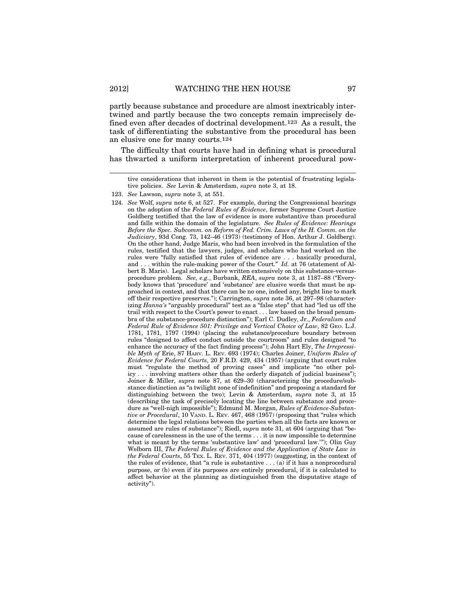partly because substance and procedure are almost inextricably intertwined and partly because the two concepts remain imprecisely defined even after decades of doctrinal development.123 As a result, the task of differentiating the substantive from the procedural has been an elusive one for many courts.124

The difficulty that courts have had in defining what is procedural has thwarted a uniform interpretation of inherent procedural pow-

tive considerations that inherent in them is the potential of frustrating legislative policies. *See* Levin & Amsterdam, *supra* note 3, at 18.

124. *See* Wolf, *supra* note 6, at 527. For example, during the Congressional hearings on the adoption of the *Federal Rules of Evidence*, former Supreme Court Justice Goldberg testified that the law of evidence is more substantive than procedural and falls within the domain of the legislature. *See Rules of Evidence: Hearings Before the Spec. Subcomm. on Reform of Fed. Crim. Laws of the H. Comm. on the Judiciary*, 93d Cong. 73, 142–46 (1973) (testimony of Hon. Arthur J. Goldberg). On the other hand, Judge Maris, who had been involved in the formulation of the rules, testified that the lawyers, judges, and scholars who had worked on the rules were "fully satisfied that rules of evidence are . . . basically procedural, and . . . within the rule-making power of the Court." *Id.* at 76 (statement of Albert B. Maris). Legal scholars have written extensively on this substance-versusprocedure problem. *See, e.g.*, Burbank, *REA*, *supra* note 3, at 1187–88 ("Everybody knows that 'procedure' and 'substance' are elusive words that must be approached in context, and that there can be no one, indeed any, bright line to mark off their respective preserves."); Carrington, *supra* note 36, at 297–98 (characterizing *Hanna's* "arguably procedural" test as a "false step" that had "led us off the trail with respect to the Court's power to enact . . . law based on the broad penumbra of the substance-procedure distinction"); Earl C. Dudley, Jr., *Federalism and Federal Rule of Evidence 501: Privilege and Vertical Choice of Law*, 82 GEO. L.J. 1781, 1781, 1797 (1994) (placing the substance/procedure boundary between rules "designed to affect conduct outside the courtroom" and rules designed "to enhance the accuracy of the fact finding process"); John Hart Ely, *The Irrepressible Myth of* Erie, 87 HARV. L. REV. 693 (1974); Charles Joiner, *Uniform Rules of Evidence for Federal Courts*, 20 F.R.D. 429, 434 (1957) (arguing that court rules must "regulate the method of proving cases" and implicate "no other policy . . . involving matters other than the orderly dispatch of judicial business"); Joiner & Miller, *supra* note 87, at 629–30 (characterizing the procedure/substance distinction as "a twilight zone of indefinition" and proposing a standard for distinguishing between the two); Levin & Amsterdam, *supra* note 3, at 15 (describing the task of precisely locating the line between substance and procedure as "well-nigh impossible"); Edmund M. Morgan, *Rules of Evidence-Substantive or Procedural*, 10 VAND. L. REV. 467, 468 (1957) (proposing that "rules which determine the legal relations between the parties when all the facts are known or assumed are rules of substance"); Riedl, *supra* note 31, at 604 (arguing that "because of carelessness in the use of the terms . . . it is now impossible to determine what is meant by the terms 'substantive law' and 'procedural law.'"); Olin Guy Welborn III, *The Federal Rules of Evidence and the Application of State Law in the Federal Courts*, 55 TEX. L. REV. 371, 404 (1977) (suggesting, in the context of the rules of evidence, that "a rule is substantive  $\dots$  (a) if it has a nonprocedural purpose, or (b) even if its purposes are entirely procedural, if it is calculated to affect behavior at the planning as distinguished from the disputative stage of activity").

<sup>123.</sup> *See* Lawson, *supra* note 3, at 551.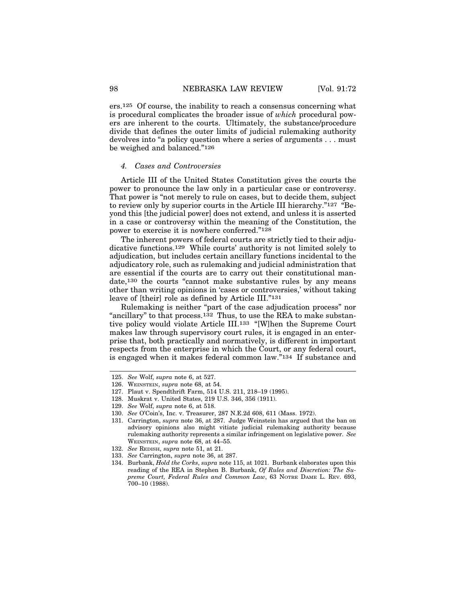ers.125 Of course, the inability to reach a consensus concerning what is procedural complicates the broader issue of *which* procedural powers are inherent to the courts. Ultimately, the substance/procedure divide that defines the outer limits of judicial rulemaking authority devolves into "a policy question where a series of arguments . . . must be weighed and balanced."126

#### *4. Cases and Controversies*

Article III of the United States Constitution gives the courts the power to pronounce the law only in a particular case or controversy. That power is "not merely to rule on cases, but to decide them, subject to review only by superior courts in the Article III hierarchy."127 "Beyond this [the judicial power] does not extend, and unless it is asserted in a case or controversy within the meaning of the Constitution, the power to exercise it is nowhere conferred."128

The inherent powers of federal courts are strictly tied to their adjudicative functions.129 While courts' authority is not limited solely to adjudication, but includes certain ancillary functions incidental to the adjudicatory role, such as rulemaking and judicial administration that are essential if the courts are to carry out their constitutional mandate,130 the courts "cannot make substantive rules by any means other than writing opinions in 'cases or controversies,' without taking leave of [their] role as defined by Article III."131

Rulemaking is neither "part of the case adjudication process" nor "ancillary" to that process.132 Thus, to use the REA to make substantive policy would violate Article III.133 "[W]hen the Supreme Court makes law through supervisory court rules, it is engaged in an enterprise that, both practically and normatively, is different in important respects from the enterprise in which the Court, or any federal court, is engaged when it makes federal common law."134 If substance and

<sup>125.</sup> *See* Wolf, *supra* note 6, at 527.

<sup>126.</sup> WEINSTEIN, *supra* note 68, at 54.

<sup>127.</sup> Plaut v. Spendthrift Farm, 514 U.S. 211, 218–19 (1995).

<sup>128.</sup> Muskrat v. United States, 219 U.S. 346, 356 (1911).

<sup>129.</sup> *See* Wolf, *supra* note 6, at 518.

<sup>130.</sup> *See* O'Coin's, Inc. v. Treasurer, 287 N.E.2d 608, 611 (Mass. 1972).

<sup>131.</sup> Carrington, *supra* note 36, at 287. Judge Weinstein has argued that the ban on advisory opinions also might vitiate judicial rulemaking authority because rulemaking authority represents a similar infringement on legislative power. *See* WEINSTEIN, *supra* note 68, at 44–55.

<sup>132.</sup> *See* REDISH, *supra* note 51, at 21.

<sup>133.</sup> *See* Carrington, *supra* note 36, at 287.

<sup>134.</sup> Burbank, *Hold the Corks*, *supra* note 115, at 1021. Burbank elaborates upon this reading of the REA in Stephen B. Burbank, *Of Rules and Discretion: The Supreme Court, Federal Rules and Common Law*, 63 NOTRE DAME L. REV. 693, 700–10 (1988).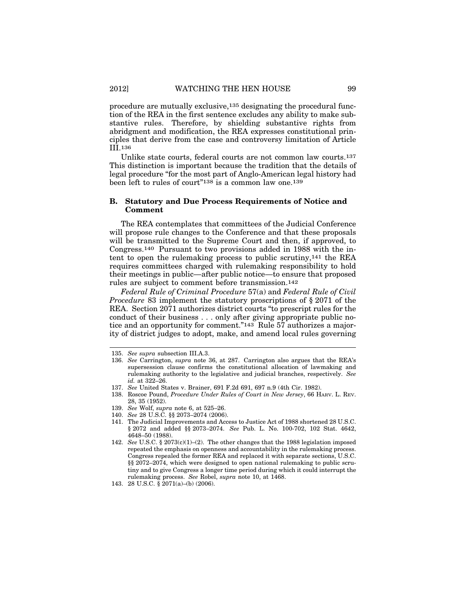procedure are mutually exclusive,135 designating the procedural function of the REA in the first sentence excludes any ability to make substantive rules. Therefore, by shielding substantive rights from abridgment and modification, the REA expresses constitutional principles that derive from the case and controversy limitation of Article III.136

Unlike state courts, federal courts are not common law courts.137 This distinction is important because the tradition that the details of legal procedure "for the most part of Anglo-American legal history had been left to rules of court<sup>"138</sup> is a common law one.<sup>139</sup>

### **B. Statutory and Due Process Requirements of Notice and Comment**

The REA contemplates that committees of the Judicial Conference will propose rule changes to the Conference and that these proposals will be transmitted to the Supreme Court and then, if approved, to Congress.140 Pursuant to two provisions added in 1988 with the intent to open the rulemaking process to public scrutiny,141 the REA requires committees charged with rulemaking responsibility to hold their meetings in public—after public notice—to ensure that proposed rules are subject to comment before transmission.142

*Federal Rule of Criminal Procedure* 57(a) and *Federal Rule of Civil Procedure* 83 implement the statutory proscriptions of § 2071 of the REA. Section 2071 authorizes district courts "to prescript rules for the conduct of their business . . . only after giving appropriate public notice and an opportunity for comment."143 Rule 57 authorizes a majority of district judges to adopt, make, and amend local rules governing

- 138. Roscoe Pound, *Procedure Under Rules of Court in New Jersey*, 66 HARV. L. REV. 28, 35 (1952).
- 139. *See* Wolf, *supra* note 6, at 525–26.
- 140. *See* 28 U.S.C. §§ 2073–2074 (2006).

<sup>135.</sup> *See supra* subsection III.A.3.

<sup>136.</sup> *See* Carrington, *supra* note 36, at 287. Carrington also argues that the REA's supersession clause confirms the constitutional allocation of lawmaking and rulemaking authority to the legislative and judicial branches, respectively. *See id.* at 322–26.

<sup>137.</sup> *See* United States v. Brainer, 691 F.2d 691, 697 n.9 (4th Cir. 1982).

<sup>141.</sup> The Judicial Improvements and Access to Justice Act of 1988 shortened 28 U.S.C. § 2072 and added §§ 2073–2074. *See* Pub. L. No. 100-702, 102 Stat. 4642, 4648–50 (1988).

<sup>142.</sup> *See* U.S.C. § 2073(c)(1)–(2). The other changes that the 1988 legislation imposed repeated the emphasis on openness and accountability in the rulemaking process. Congress repealed the former REA and replaced it with separate sections, U.S.C. §§ 2072–2074, which were designed to open national rulemaking to public scrutiny and to give Congress a longer time period during which it could interrupt the rulemaking process. *See* Robel, *supra* note 10, at 1468.

<sup>143. 28</sup> U.S.C. § 2071(a)–(b) (2006).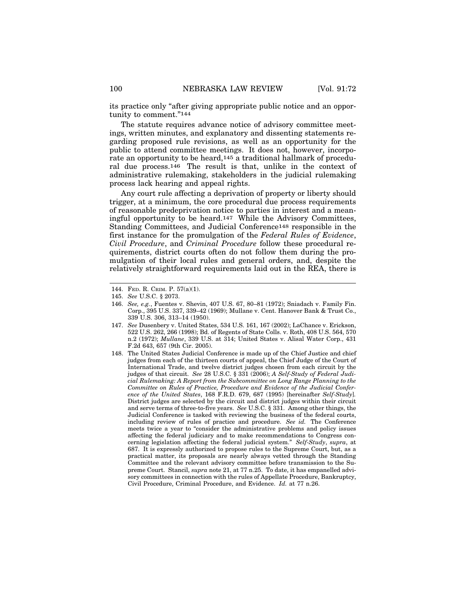its practice only "after giving appropriate public notice and an opportunity to comment."144

The statute requires advance notice of advisory committee meetings, written minutes, and explanatory and dissenting statements regarding proposed rule revisions, as well as an opportunity for the public to attend committee meetings. It does not, however, incorporate an opportunity to be heard,145 a traditional hallmark of procedural due process.146 The result is that, unlike in the context of administrative rulemaking, stakeholders in the judicial rulemaking process lack hearing and appeal rights.

Any court rule affecting a deprivation of property or liberty should trigger, at a minimum, the core procedural due process requirements of reasonable predeprivation notice to parties in interest and a meaningful opportunity to be heard.147 While the Advisory Committees, Standing Committees, and Judicial Conference148 responsible in the first instance for the promulgation of the *Federal Rules of Evidence*, *Civil Procedure*, and *Criminal Procedure* follow these procedural requirements, district courts often do not follow them during the promulgation of their local rules and general orders, and, despite the relatively straightforward requirements laid out in the REA, there is

- 147. *See* Dusenbery v. United States, 534 U.S. 161, 167 (2002); LaChance v. Erickson, 522 U.S. 262, 266 (1998); Bd. of Regents of State Colls. v. Roth, 408 U.S. 564, 570 n.2 (1972); *Mullane*, 339 U.S. at 314; United States v. Alisal Water Corp., 431 F.2d 643, 657 (9th Cir. 2005).
- 148. The United States Judicial Conference is made up of the Chief Justice and chief judges from each of the thirteen courts of appeal, the Chief Judge of the Court of International Trade, and twelve district judges chosen from each circuit by the judges of that circuit. *See* 28 U.S.C. § 331 (2006); *A Self-Study of Federal Judicial Rulemaking: A Report from the Subcommittee on Long Range Planning to the Committee on Rules of Practice, Procedure and Evidence of the Judicial Conference of the United States*, 168 F.R.D. 679, 687 (1995) [hereinafter *Self-Study*]*.* District judges are selected by the circuit and district judges within their circuit and serve terms of three-to-five years. *See* U.S.C. § 331. Among other things, the Judicial Conference is tasked with reviewing the business of the federal courts, including review of rules of practice and procedure. *See id.* The Conference meets twice a year to "consider the administrative problems and policy issues affecting the federal judiciary and to make recommendations to Congress concerning legislation affecting the federal judicial system." *Self-Study*, *supra*, at 687. It is expressly authorized to propose rules to the Supreme Court, but, as a practical matter, its proposals are nearly always vetted through the Standing Committee and the relevant advisory committee before transmission to the Supreme Court. Stancil, *supra* note 21, at 77 n.25. To date, it has empanelled advisory committees in connection with the rules of Appellate Procedure, Bankruptcy, Civil Procedure, Criminal Procedure, and Evidence. *Id.* at 77 n.26.

<sup>144.</sup> FED. R. CRIM. P. 57(a)(1).

<sup>145.</sup> *See* U.S.C. § 2073.

<sup>146.</sup> *See, e.g.*, Fuentes v. Shevin, 407 U.S. 67, 80–81 (1972); Sniadach v. Family Fin. Corp., 395 U.S. 337, 339–42 (1969); Mullane v. Cent. Hanover Bank & Trust Co., 339 U.S. 306, 313–14 (1950).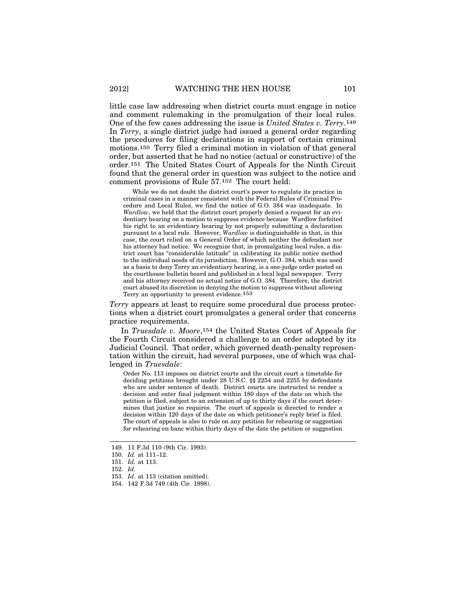little case law addressing when district courts must engage in notice and comment rulemaking in the promulgation of their local rules. One of the few cases addressing the issue is *United States v. Terry*.149 In *Terry*, a single district judge had issued a general order regarding the procedures for filing declarations in support of certain criminal motions.150 Terry filed a criminal motion in violation of that general order, but asserted that he had no notice (actual or constructive) of the order.151 The United States Court of Appeals for the Ninth Circuit found that the general order in question was subject to the notice and comment provisions of Rule 57.152 The court held:

While we do not doubt the district court's power to regulate its practice in criminal cases in a manner consistent with the Federal Rules of Criminal Procedure and Local Rules, we find the notice of G.O. 384 was inadequate. In *Wardlow*, we held that the district court properly denied a request for an evidentiary hearing on a motion to suppress evidence because Wardlow forfeited his right to an evidentiary hearing by not properly submitting a declaration pursuant to a local rule. However, *Wardlow* is distinguishable in that, in this case, the court relied on a General Order of which neither the defendant nor his attorney had notice. We recognize that, in promulgating local rules, a district court has "considerable latitude" in calibrating its public notice method to the individual needs of its jurisdiction. However, G.O. 384, which was used as a basis to deny Terry an evidentiary hearing, is a one-judge order posted on the courthouse bulletin board and published in a local legal newspaper. Terry and his attorney received no actual notice of G.O. 384. Therefore, the district court abused its discretion in denying the motion to suppress without allowing Terry an opportunity to present evidence.153

*Terry* appears at least to require some procedural due process protections when a district court promulgates a general order that concerns practice requirements.

In *Truesdale v. Moore*,154 the United States Court of Appeals for the Fourth Circuit considered a challenge to an order adopted by its Judicial Council. That order, which governed death-penalty representation within the circuit, had several purposes, one of which was challenged in *Truesdale*:

Order No. 113 imposes on district courts and the circuit court a timetable for deciding petitions brought under 28 U.S.C. §§ 2254 and 2255 by defendants who are under sentence of death. District courts are instructed to render a decision and enter final judgment within 180 days of the date on which the petition is filed, subject to an extension of up to thirty days if the court determines that justice so requires. The court of appeals is directed to render a decision within 120 days of the date on which petitioner's reply brief is filed. The court of appeals is also to rule on any petition for rehearing or suggestion for rehearing en banc within thirty days of the date the petition or suggestion

<sup>149. 11</sup> F.3d 110 (9th Cir. 1993).

<sup>150.</sup> *Id.* at 111–12.

<sup>151.</sup> *Id.* at 113.

<sup>152.</sup> *Id.*

<sup>153.</sup> *Id.* at 113 (citation omitted).

<sup>154. 142</sup> F.3d 749 (4th Cir. 1998).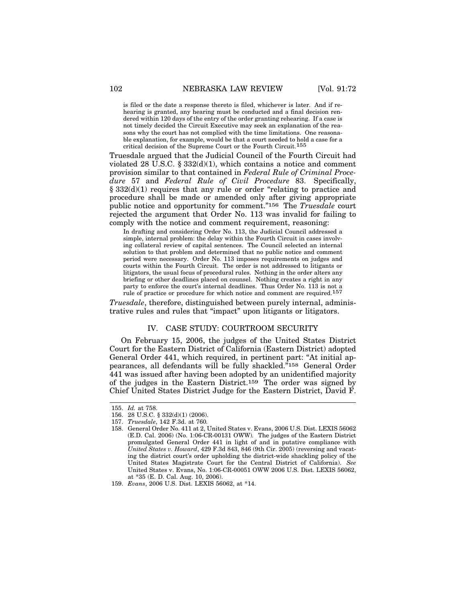is filed or the date a response thereto is filed, whichever is later. And if rehearing is granted, any hearing must be conducted and a final decision rendered within 120 days of the entry of the order granting rehearing. If a case is not timely decided the Circuit Executive may seek an explanation of the reasons why the court has not complied with the time limitations. One reasonable explanation, for example, would be that a court needed to hold a case for a critical decision of the Supreme Court or the Fourth Circuit.155

Truesdale argued that the Judicial Council of the Fourth Circuit had violated 28 U.S.C. §  $332(d)(1)$ , which contains a notice and comment provision similar to that contained in *Federal Rule of Criminal Procedure* 57 and *Federal Rule of Civil Procedure* 83. Specifically, § 332(d)(1) requires that any rule or order "relating to practice and procedure shall be made or amended only after giving appropriate public notice and opportunity for comment."156 The *Truesdale* court rejected the argument that Order No. 113 was invalid for failing to comply with the notice and comment requirement, reasoning:

In drafting and considering Order No. 113, the Judicial Council addressed a simple, internal problem: the delay within the Fourth Circuit in cases involving collateral review of capital sentences. The Council selected an internal solution to that problem and determined that no public notice and comment period were necessary. Order No. 113 imposes requirements on judges and courts within the Fourth Circuit. The order is not addressed to litigants or litigators, the usual focus of procedural rules. Nothing in the order alters any briefing or other deadlines placed on counsel. Nothing creates a right in any party to enforce the court's internal deadlines. Thus Order No. 113 is not a rule of practice or procedure for which notice and comment are required.157

*Truesdale*, therefore, distinguished between purely internal, administrative rules and rules that "impact" upon litigants or litigators.

### IV. CASE STUDY: COURTROOM SECURITY

On February 15, 2006, the judges of the United States District Court for the Eastern District of California (Eastern District) adopted General Order 441, which required, in pertinent part: "At initial appearances, all defendants will be fully shackled."158 General Order 441 was issued after having been adopted by an unidentified majority of the judges in the Eastern District.159 The order was signed by Chief United States District Judge for the Eastern District, David F.

<sup>155.</sup> *Id.* at 758.

<sup>156. 28</sup> U.S.C. § 332(d)(1) (2006).

<sup>157.</sup> *Truesdale*, 142 F.3d. at 760*.*

<sup>158.</sup> General Order No. 411 at 2, United States v. Evans, 2006 U.S. Dist. LEXIS 56062 (E.D. Cal. 2006) (No. 1:06-CR-00131 OWW)*.* The judges of the Eastern District promulgated General Order 441 in light of and in putative compliance with *United States v. Howard*, 429 F.3d 843, 846 (9th Cir. 2005) (reversing and vacating the district court's order upholding the district-wide shackling policy of the United States Magistrate Court for the Central District of California). *See* United States v. Evans, No. 1:06-CR-00051 OWW 2006 U.S. Dist. LEXIS 56062, at \*35 (E. D. Cal. Aug. 10, 2006).

<sup>159.</sup> *Evans*, 2006 U.S. Dist. LEXIS 56062, at \*14.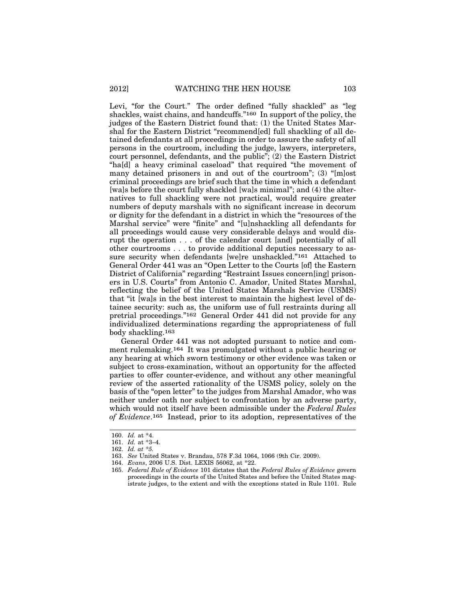Levi, "for the Court." The order defined "fully shackled" as "leg shackles, waist chains, and handcuffs."160 In support of the policy, the judges of the Eastern District found that: (1) the United States Marshal for the Eastern District "recommend[ed] full shackling of all detained defendants at all proceedings in order to assure the safety of all persons in the courtroom, including the judge, lawyers, interpreters, court personnel, defendants, and the public"; (2) the Eastern District "ha[d] a heavy criminal caseload" that required "the movement of many detained prisoners in and out of the courtroom"; (3) "[m]ost criminal proceedings are brief such that the time in which a defendant [wa]s before the court fully shackled [wa]s minimal"; and (4) the alternatives to full shackling were not practical, would require greater numbers of deputy marshals with no significant increase in decorum or dignity for the defendant in a district in which the "resources of the Marshal service" were "finite" and "[u]nshackling all defendants for all proceedings would cause very considerable delays and would disrupt the operation . . . of the calendar court [and] potentially of all other courtrooms . . . to provide additional deputies necessary to assure security when defendants [we]re unshackled."161 Attached to General Order 441 was an "Open Letter to the Courts [of] the Eastern District of California" regarding "Restraint Issues concern[ing] prisoners in U.S. Courts" from Antonio C. Amador, United States Marshal, reflecting the belief of the United States Marshals Service (USMS) that "it [wa]s in the best interest to maintain the highest level of detainee security: such as, the uniform use of full restraints during all pretrial proceedings."162 General Order 441 did not provide for any individualized determinations regarding the appropriateness of full body shackling.163

General Order 441 was not adopted pursuant to notice and comment rulemaking.164 It was promulgated without a public hearing or any hearing at which sworn testimony or other evidence was taken or subject to cross-examination, without an opportunity for the affected parties to offer counter-evidence, and without any other meaningful review of the asserted rationality of the USMS policy, solely on the basis of the "open letter" to the judges from Marshal Amador, who was neither under oath nor subject to confrontation by an adverse party, which would not itself have been admissible under the *Federal Rules of Evidence*.165 Instead, prior to its adoption, representatives of the

<sup>160.</sup> *Id.* at \*4.

<sup>161.</sup> *Id.* at \*3–4.

<sup>162.</sup> *Id. at \*5.*

<sup>163.</sup> *See* United States v. Brandau, 578 F.3d 1064, 1066 (9th Cir. 2009).

<sup>164.</sup> *Evans*, 2006 U.S. Dist. LEXIS 56062, at \*22.

<sup>165.</sup> *Federal Rule of Evidence* 101 dictates that the *Federal Rules of Evidence* govern proceedings in the courts of the United States and before the United States magistrate judges, to the extent and with the exceptions stated in Rule 1101. Rule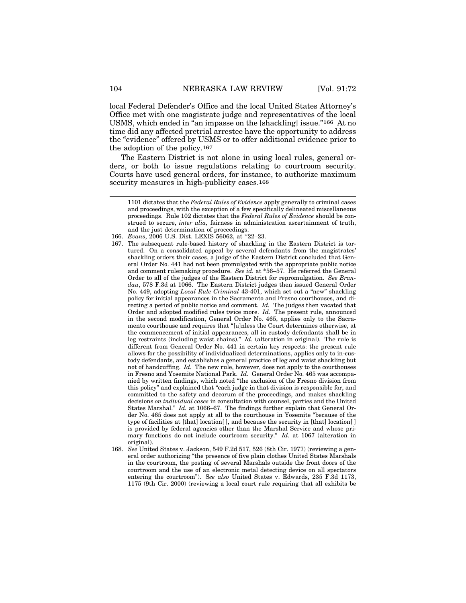local Federal Defender's Office and the local United States Attorney's Office met with one magistrate judge and representatives of the local USMS, which ended in "an impasse on the [shackling] issue."166 At no time did any affected pretrial arrestee have the opportunity to address the "evidence" offered by USMS or to offer additional evidence prior to the adoption of the policy.167

The Eastern District is not alone in using local rules, general orders, or both to issue regulations relating to courtroom security. Courts have used general orders, for instance, to authorize maximum security measures in high-publicity cases.<sup>168</sup>

- 166. *Evans*, 2006 U.S. Dist. LEXIS 56062, at \*22–23.
- 167. The subsequent rule-based history of shackling in the Eastern District is tortured. On a consolidated appeal by several defendants from the magistrates' shackling orders their cases, a judge of the Eastern District concluded that General Order No. 441 had not been promulgated with the appropriate public notice and comment rulemaking procedure. *See id.* at \*56–57. He referred the General Order to all of the judges of the Eastern District for repromulgation. *See Brandau*, 578 F.3d at 1066. The Eastern District judges then issued General Order No. 449, adopting *Local Rule Criminal* 43-401, which set out a "new" shackling policy for initial appearances in the Sacramento and Fresno courthouses, and directing a period of public notice and comment. *Id.* The judges then vacated that Order and adopted modified rules twice more. *Id.* The present rule, announced in the second modification, General Order No. 465, applies only to the Sacramento courthouse and requires that "[u]nless the Court determines otherwise, at the commencement of initial appearances, all in custody defendants shall be in leg restraints (including waist chains)." *Id.* (alteration in original). The rule is different from General Order No. 441 in certain key respects: the present rule allows for the possibility of individualized determinations, applies only to in-custody defendants, and establishes a general practice of leg and waist shackling but not of handcuffing. *Id.* The new rule, however, does not apply to the courthouses in Fresno and Yosemite National Park. *Id.* General Order No. 465 was accompanied by written findings, which noted "the exclusion of the Fresno division from this policy" and explained that "each judge in that division is responsible for, and committed to the safety and decorum of the proceedings, and makes shackling decisions *on individual cases* in consultation with counsel, parties and the United States Marshal." *Id.* at 1066–67. The findings further explain that General Order No. 465 does not apply at all to the courthouse in Yosemite "because of the type of facilities at [that] location[ ], and because the security in [that] location[ ] is provided by federal agencies other than the Marshal Service and whose primary functions do not include courtroom security." *Id.* at 1067 (alteration in original).
- 168. *See* United States v. Jackson, 549 F.2d 517, 526 (8th Cir. 1977) (reviewing a general order authorizing "the presence of five plain clothes United States Marshals in the courtroom, the posting of several Marshals outside the front doors of the courtroom and the use of an electronic metal detecting device on all spectators entering the courtroom"). S*ee also* United States v. Edwards, 235 F.3d 1173, 1175 (9th Cir. 2000) (reviewing a local court rule requiring that all exhibits be

<sup>1101</sup> dictates that the *Federal Rules of Evidence* apply generally to criminal cases and proceedings, with the exception of a few specifically delineated miscellaneous proceedings. Rule 102 dictates that the *Federal Rules of Evidence* should be construed to secure, *inter alia,* fairness in administration ascertainment of truth, and the just determination of proceedings.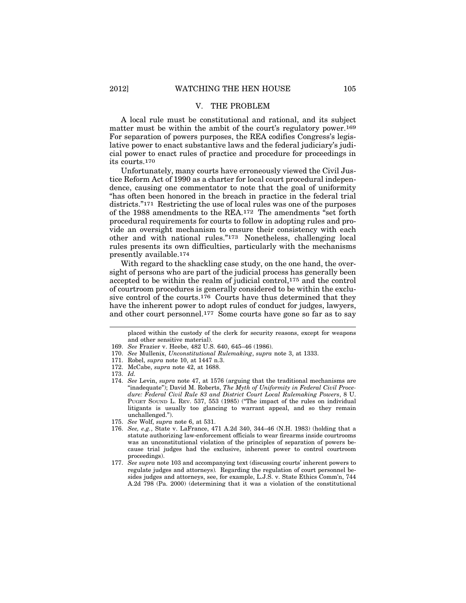# V. THE PROBLEM

A local rule must be constitutional and rational, and its subject matter must be within the ambit of the court's regulatory power.<sup>169</sup> For separation of powers purposes, the REA codifies Congress's legislative power to enact substantive laws and the federal judiciary's judicial power to enact rules of practice and procedure for proceedings in its courts.170

Unfortunately, many courts have erroneously viewed the Civil Justice Reform Act of 1990 as a charter for local court procedural independence, causing one commentator to note that the goal of uniformity "has often been honored in the breach in practice in the federal trial districts."171 Restricting the use of local rules was one of the purposes of the 1988 amendments to the REA.172 The amendments "set forth procedural requirements for courts to follow in adopting rules and provide an oversight mechanism to ensure their consistency with each other and with national rules."173 Nonetheless, challenging local rules presents its own difficulties, particularly with the mechanisms presently available.174

With regard to the shackling case study, on the one hand, the oversight of persons who are part of the judicial process has generally been accepted to be within the realm of judicial control,175 and the control of courtroom procedures is generally considered to be within the exclusive control of the courts.176 Courts have thus determined that they have the inherent power to adopt rules of conduct for judges, lawyers, and other court personnel.177 Some courts have gone so far as to say

placed within the custody of the clerk for security reasons, except for weapons and other sensitive material).

- 169. *See* Frazier v. Heebe, 482 U.S. 640, 645–46 (1986).
- 170. *See* Mullenix, *Unconstitutional Rulemaking*, *supra* note 3, at 1333.
- 171. Robel, *supra* note 10, at 1447 n.3.
- 172. McCabe, *supra* note 42, at 1688.

- 174. *See* Levin, *supra* note 47, at 1576 (arguing that the traditional mechanisms are "inadequate"); David M. Roberts, *The Myth of Uniformity in Federal Civil Procedure: Federal Civil Rule 83 and District Court Local Rulemaking Powers*, 8 U. PUGET SOUND L. REV. 537, 553 (1985) ("The impact of the rules on individual litigants is usually too glancing to warrant appeal, and so they remain unchallenged.").
- 175. *See* Wolf, *supra* note 6, at 531.
- 176. *See, e.g.*, State v. LaFrance, 471 A.2d 340, 344–46 (N.H. 1983) (holding that a statute authorizing law-enforcement officials to wear firearms inside courtrooms was an unconstitutional violation of the principles of separation of powers because trial judges had the exclusive, inherent power to control courtroom proceedings).
- 177. *See supra* note 103 and accompanying text (discussing courts' inherent powers to regulate judges and attorneys)*.* Regarding the regulation of court personnel besides judges and attorneys, see, for example, L.J.S. v. State Ethics Comm'n, 744 A.2d 798 (Pa. 2000) (determining that it was a violation of the constitutional

<sup>173.</sup> *Id.*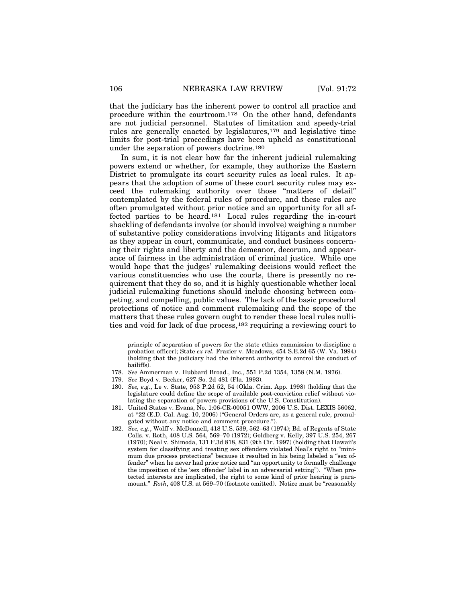that the judiciary has the inherent power to control all practice and procedure within the courtroom.178 On the other hand, defendants are not judicial personnel. Statutes of limitation and speedy-trial rules are generally enacted by legislatures,179 and legislative time limits for post-trial proceedings have been upheld as constitutional under the separation of powers doctrine.180

In sum, it is not clear how far the inherent judicial rulemaking powers extend or whether, for example, they authorize the Eastern District to promulgate its court security rules as local rules. It appears that the adoption of some of these court security rules may exceed the rulemaking authority over those "matters of detail" contemplated by the federal rules of procedure, and these rules are often promulgated without prior notice and an opportunity for all affected parties to be heard.181 Local rules regarding the in-court shackling of defendants involve (or should involve) weighing a number of substantive policy considerations involving litigants and litigators as they appear in court, communicate, and conduct business concerning their rights and liberty and the demeanor, decorum, and appearance of fairness in the administration of criminal justice. While one would hope that the judges' rulemaking decisions would reflect the various constituencies who use the courts, there is presently no requirement that they do so, and it is highly questionable whether local judicial rulemaking functions should include choosing between competing, and compelling, public values. The lack of the basic procedural protections of notice and comment rulemaking and the scope of the matters that these rules govern ought to render these local rules nullities and void for lack of due process,182 requiring a reviewing court to

principle of separation of powers for the state ethics commission to discipline a probation officer); State *ex rel.* Frazier v. Meadows, 454 S.E.2d 65 (W. Va. 1994) (holding that the judiciary had the inherent authority to control the conduct of bailiffs).

- 178. *See* Ammerman v. Hubbard Broad., Inc., 551 P.2d 1354, 1358 (N.M. 1976).
- 179. *See* Boyd v. Becker, 627 So. 2d 481 (Fla. 1993).
- 180. *See, e.g.*, Le v. State, 953 P.2d 52, 54 (Okla. Crim. App. 1998) (holding that the legislature could define the scope of available post-conviction relief without violating the separation of powers provisions of the U.S. Constitution).
- 181. United States v. Evans, No. 1:06-CR-00051 OWW, 2006 U.S. Dist. LEXIS 56062, at \*22 (E.D. Cal. Aug. 10, 2006) ("General Orders are, as a general rule, promulgated without any notice and comment procedure.").
- 182. *See, e.g.*, Wolff v. McDonnell, 418 U.S. 539, 562–63 (1974); Bd. of Regents of State Colls. v. Roth, 408 U.S. 564, 569–70 (1972); Goldberg v. Kelly, 397 U.S. 254, 267 (1970); Neal v. Shimoda, 131 F.3d 818, 831 (9th Cir. 1997) (holding that Hawaii's system for classifying and treating sex offenders violated Neal's right to "minimum due process protections" because it resulted in his being labeled a "sex offender" when he never had prior notice and "an opportunity to formally challenge the imposition of the 'sex offender' label in an adversarial setting"). "When protected interests are implicated, the right to some kind of prior hearing is paramount." *Roth*, 408 U.S. at 569–70 (footnote omitted). Notice must be "reasonably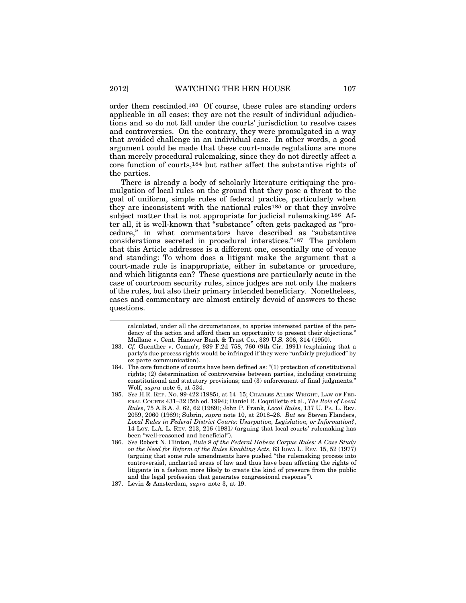order them rescinded.183 Of course, these rules are standing orders applicable in all cases; they are not the result of individual adjudications and so do not fall under the courts' jurisdiction to resolve cases and controversies. On the contrary, they were promulgated in a way that avoided challenge in an individual case. In other words, a good argument could be made that these court-made regulations are more than merely procedural rulemaking, since they do not directly affect a core function of courts,184 but rather affect the substantive rights of the parties.

There is already a body of scholarly literature critiquing the promulgation of local rules on the ground that they pose a threat to the goal of uniform, simple rules of federal practice, particularly when they are inconsistent with the national rules185 or that they involve subject matter that is not appropriate for judicial rulemaking.186 After all, it is well-known that "substance" often gets packaged as "procedure," in what commentators have described as "substantive considerations secreted in procedural interstices."187 The problem that this Article addresses is a different one, essentially one of venue and standing: To whom does a litigant make the argument that a court-made rule is inappropriate, either in substance or procedure, and which litigants can? These questions are particularly acute in the case of courtroom security rules, since judges are not only the makers of the rules, but also their primary intended beneficiary. Nonetheless, cases and commentary are almost entirely devoid of answers to these questions.

calculated, under all the circumstances, to apprise interested parties of the pendency of the action and afford them an opportunity to present their objections." Mullane v. Cent. Hanover Bank & Trust Co., 339 U.S. 306, 314 (1950).

- 183. *Cf.* Guenther v. Comm'r, 939 F.2d 758, 760 (9th Cir. 1991) (explaining that a party's due process rights would be infringed if they were "unfairly prejudiced" by ex parte communication).
- 184. The core functions of courts have been defined as: "(1) protection of constitutional rights; (2) determination of controversies between parties, including construing constitutional and statutory provisions; and (3) enforcement of final judgments." Wolf, *supra* note 6, at 534.
- 185. *See* H.R. REP. NO. 99-422 (1985), at 14–15; CHARLES ALLEN WRIGHT, LAW OF FED-ERAL COURTS 431–32 (5th ed. 1994); Daniel R. Coquillette et al., *The Role of Local Rules*, 75 A.B.A. J. 62, 62 (1989); John P. Frank, *Local Rules*, 137 U. PA. L. REV. 2059, 2060 (1989); Subrin, *supra* note 10, at 2018–26. *But see* Steven Flanders, *Local Rules in Federal District Courts: Usurpation, Legislation, or Information?*, 14 LOY. L.A. L. REV. 213, 216 (1981*)* (arguing that local courts' rulemaking has been "well-reasoned and beneficial").

<sup>186.</sup> *See* Robert N. Clinton, *Rule 9 of the Federal Habeas Corpus Rules: A Case Study on the Need for Reform of the Rules Enabling Acts*, 63 IOWA L. REV. 15, 52 (1977) (arguing that some rule amendments have pushed "the rulemaking process into controversial, uncharted areas of law and thus have been affecting the rights of litigants in a fashion more likely to create the kind of pressure from the public and the legal profession that generates congressional response")*.*

<sup>187.</sup> Levin & Amsterdam, *supra* note 3, at 19.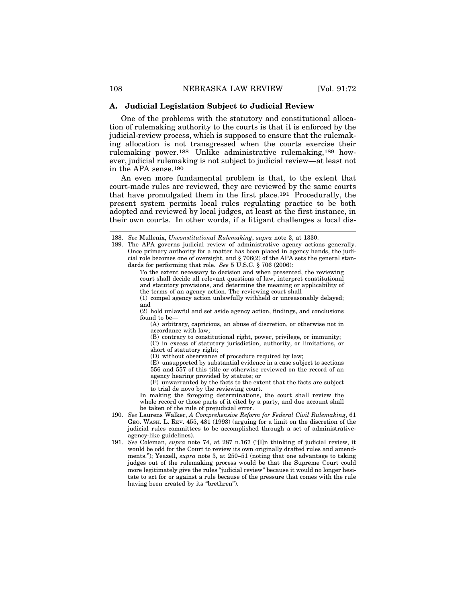### **A. Judicial Legislation Subject to Judicial Review**

One of the problems with the statutory and constitutional allocation of rulemaking authority to the courts is that it is enforced by the judicial-review process, which is supposed to ensure that the rulemaking allocation is not transgressed when the courts exercise their rulemaking power.188 Unlike administrative rulemaking,189 however, judicial rulemaking is not subject to judicial review—at least not in the APA sense.190

An even more fundamental problem is that, to the extent that court-made rules are reviewed, they are reviewed by the same courts that have promulgated them in the first place.191 Procedurally, the present system permits local rules regulating practice to be both adopted and reviewed by local judges, at least at the first instance, in their own courts. In other words, if a litigant challenges a local dis-

189. The APA governs judicial review of administrative agency actions generally. Once primary authority for a matter has been placed in agency hands, the judicial role becomes one of oversight, and § 706(2) of the APA sets the general standards for performing that role. *See* 5 U.S.C. § 706 (2006):

> To the extent necessary to decision and when presented, the reviewing court shall decide all relevant questions of law, interpret constitutional and statutory provisions, and determine the meaning or applicability of the terms of an agency action. The reviewing court shall—

> (1) compel agency action unlawfully withheld or unreasonably delayed; and

> (2) hold unlawful and set aside agency action, findings, and conclusions found to be—

(A) arbitrary, capricious, an abuse of discretion, or otherwise not in accordance with law;

(B) contrary to constitutional right, power, privilege, or immunity;

(C) in excess of statutory jurisdiction, authority, or limitations, or short of statutory right;

(D) without observance of procedure required by law;

(E) unsupported by substantial evidence in a case subject to sections 556 and 557 of this title or otherwise reviewed on the record of an agency hearing provided by statute; or

 $(F)$  unwarranted by the facts to the extent that the facts are subject to trial de novo by the reviewing court.

In making the foregoing determinations, the court shall review the whole record or those parts of it cited by a party, and due account shall be taken of the rule of prejudicial error.

- 190. *See* Laurens Walker, *A Comprehensive Reform for Federal Civil Rulemaking*, 61 GEO. WASH. L. REV. 455, 481 (1993) (arguing for a limit on the discretion of the judicial rules committees to be accomplished through a set of administrativeagency-like guidelines).
- 191. *See* Coleman, *supra* note 74, at 287 n.167 ("[I]n thinking of judicial review, it would be odd for the Court to review its own originally drafted rules and amendments."); Yeazell, *supra* note 3, at 250–51 (noting that one advantage to taking judges out of the rulemaking process would be that the Supreme Court could more legitimately give the rules "judicial review" because it would no longer hesitate to act for or against a rule because of the pressure that comes with the rule having been created by its "brethren").

<sup>188.</sup> *See* Mullenix, *Unconstitutional Rulemaking*, *supra* note 3, at 1330.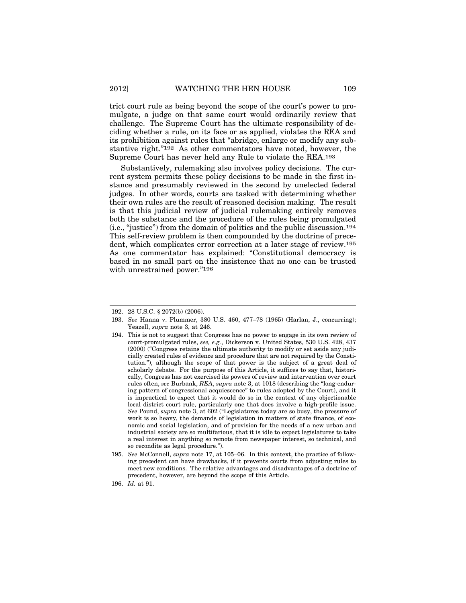trict court rule as being beyond the scope of the court's power to promulgate, a judge on that same court would ordinarily review that challenge. The Supreme Court has the ultimate responsibility of deciding whether a rule, on its face or as applied, violates the REA and its prohibition against rules that "abridge, enlarge or modify any substantive right."192 As other commentators have noted, however, the Supreme Court has never held any Rule to violate the REA.193

Substantively, rulemaking also involves policy decisions. The current system permits these policy decisions to be made in the first instance and presumably reviewed in the second by unelected federal judges. In other words, courts are tasked with determining whether their own rules are the result of reasoned decision making. The result is that this judicial review of judicial rulemaking entirely removes both the substance and the procedure of the rules being promulgated (i.e., "justice") from the domain of politics and the public discussion.194 This self-review problem is then compounded by the doctrine of precedent, which complicates error correction at a later stage of review.195 As one commentator has explained: "Constitutional democracy is based in no small part on the insistence that no one can be trusted with unrestrained power."196

<sup>192. 28</sup> U.S.C. § 2072(b) (2006).

<sup>193.</sup> *See* Hanna v. Plummer, 380 U.S. 460, 477–78 (1965) (Harlan, J., concurring); Yeazell, *supra* note 3, at 246.

<sup>194.</sup> This is not to suggest that Congress has no power to engage in its own review of court-promulgated rules, *see, e.g.*, Dickerson v. United States, 530 U.S. 428, 437 (2000) ("Congress retains the ultimate authority to modify or set aside any judicially created rules of evidence and procedure that are not required by the Constitution."), although the scope of that power is the subject of a great deal of scholarly debate. For the purpose of this Article, it suffices to say that, historically, Congress has not exercised its powers of review and intervention over court rules often, *see* Burbank, *REA*, *supra* note 3, at 1018 (describing the "long-enduring pattern of congressional acquiescence" to rules adopted by the Court), and it is impractical to expect that it would do so in the context of any objectionable local district court rule, particularly one that does involve a high-profile issue. *See* Pound, *supra* note 3, at 602 ("Legislatures today are so busy, the pressure of work is so heavy, the demands of legislation in matters of state finance, of economic and social legislation, and of provision for the needs of a new urban and industrial society are so multifarious, that it is idle to expect legislatures to take a real interest in anything so remote from newspaper interest, so technical, and so recondite as legal procedure.").

<sup>195.</sup> *See* McConnell, *supra* note 17, at 105–06. In this context, the practice of following precedent can have drawbacks, if it prevents courts from adjusting rules to meet new conditions. The relative advantages and disadvantages of a doctrine of precedent, however, are beyond the scope of this Article.

<sup>196.</sup> *Id.* at 91.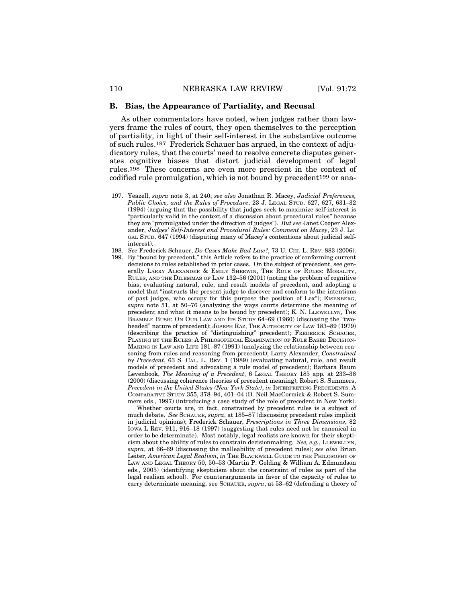### **B. Bias, the Appearance of Partiality, and Recusal**

As other commentators have noted, when judges rather than lawyers frame the rules of court, they open themselves to the perception of partiality, in light of their self-interest in the substantive outcome of such rules.197 Frederick Schauer has argued, in the context of adjudicatory rules, that the courts' need to resolve concrete disputes generates cognitive biases that distort judicial development of legal rules.198 These concerns are even more prescient in the context of codified rule promulgation, which is not bound by precedent199 or ana-

- 198. *See* Frederick Schauer, *Do Cases Make Bad Law?*, 73 U. CHI. L. REV. 883 (2006).
- 199. By "bound by precedent," this Article refers to the practice of conforming current decisions to rules established in prior cases. On the subject of precedent, see generally LARRY ALEXANDER & EMILY SHERWIN, THE RULE OF RULES: MORALITY, RULES, AND THE DILEMMAS OF LAW 132–56 (2001) (noting the problem of cognitive bias, evaluating natural, rule, and result models of precedent, and adopting a model that "instructs the present judge to discover and conform to the intentions of past judges, who occupy for this purpose the position of Lex"); EISENBERG, *supra* note 51, at 50–76 (analyzing the ways courts determine the meaning of precedent and what it means to be bound by precedent); K. N. LLEWELLYN, THE BRAMBLE BUSH: ON OUR LAW AND ITS STUDY 64–69 (1960) (discussing the "twoheaded" nature of precedent); JOSEPH RAZ, THE AUTHORITY OF LAW 183–89 (1979) (describing the practice of "distinguishing" precedent); FREDERICK SCHAUER, PLAYING BY THE RULES: A PHILOSOPHICAL EXAMINATION OF RULE BASED DECISION-MAKING IN LAW AND LIFE 181–87 (1991) (analyzing the relationship between reasoning from rules and reasoning from precedent); Larry Alexander, *Constrained by Precedent*, 63 S. CAL. L. REV. 1 (1989) (evaluating natural, rule, and result models of precedent and advocating a rule model of precedent); Barbara Baum Levenbook, *The Meaning of a Precedent*, 6 LEGAL THEORY 185 app. at 233–38 (2000) (discussing coherence theories of precedent meaning); Robert S. Summers, *Precedent in the United States (New York State)*, *in* INTERPRETING PRECEDENTS: A COMPARATIVE STUDY 355, 378–94, 401–04 (D. Neil MacCormick & Robert S. Summers eds., 1997) (introducing a case study of the role of precedent in New York).

Whether courts are, in fact, constrained by precedent rules is a subject of much debate. *See* SCHAUER, *supra*, at 185–87 (discussing precedent rules implicit in judicial opinions); Frederick Schauer, *Prescriptions in Three Dimensions*, 82 IOWA L REV. 911, 916–18 (1997) (suggesting that rules need not be canonical in order to be determinate). Most notably, legal realists are known for their skepticism about the ability of rules to constrain decisionmaking. *See, e.g.*, LLEWELLYN, *supra*, at 66–69 (discussing the malleability of precedent rules); *see also* Brian Leiter, *American Legal Realism*, *in* THE BLACKWELL GUIDE TO THE PHILOSOPHY OF LAW AND LEGAL THEORY 50, 50–53 (Martin P. Golding & William A. Edmundson eds., 2005) (identifying skepticism about the constraint of rules as part of the legal realism school). For counterarguments in favor of the capacity of rules to carry determinate meaning, see SCHAUER, *supra*, at 53–62 (defending a theory of

<sup>197.</sup> Yeazell, *supra* note 3, at 240; *see also* Jonathan R. Macey, *Judicial Preferences, Public Choice, and the Rules of Procedure*, 23 J. LEGAL STUD. 627, 627, 631–32 (1994) (arguing that the possibility that judges seek to maximize self-interest is "particularly valid in the context of a discussion about procedural rules" because they are "promulgated under the direction of judges"). *But see* Janet Cooper Alexander, *Judges' Self-Interest and Procedural Rules: Comment on Macey*, 23 J. LE-GAL STUD. 647 (1994) (disputing many of Macey's contentions about judicial selfinterest).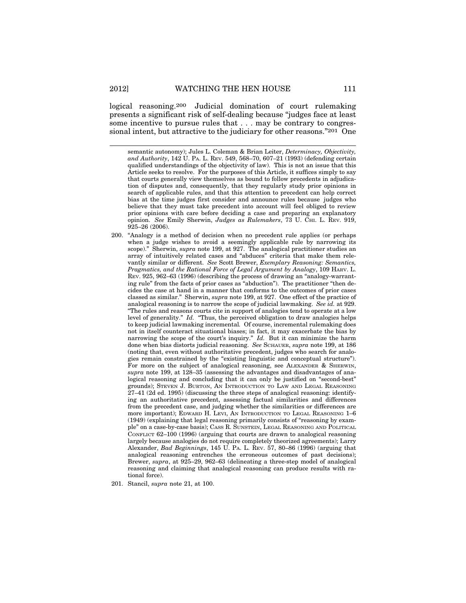logical reasoning.200 Judicial domination of court rulemaking presents a significant risk of self-dealing because "judges face at least some incentive to pursue rules that . . . may be contrary to congressional intent, but attractive to the judiciary for other reasons."201 One

semantic autonomy); Jules L. Coleman & Brian Leiter, *Determinacy, Objectivity, and Authority*, 142 U. PA. L. REV. 549, 568–70, 607–21 (1993) (defending certain qualified understandings of the objectivity of law). This is not an issue that this Article seeks to resolve. For the purposes of this Article, it suffices simply to say that courts generally view themselves as bound to follow precedents in adjudication of disputes and, consequently, that they regularly study prior opinions in search of applicable rules, and that this attention to precedent can help correct bias at the time judges first consider and announce rules because judges who believe that they must take precedent into account will feel obliged to review prior opinions with care before deciding a case and preparing an explanatory opinion. *See* Emily Sherwin, *Judges as Rulemakers*, 73 U. CHI. L. REV. 919, 925–26 (2006).

- 200. "Analogy is a method of decision when no precedent rule applies (or perhaps when a judge wishes to avoid a seemingly applicable rule by narrowing its scope)." Sherwin, *supra* note 199, at 927. The analogical practitioner studies an array of intuitively related cases and "abduces" criteria that make them relevantly similar or different. *See* Scott Brewer, *Exemplary Reasoning: Semantics, Pragmatics, and the Rational Force of Legal Argument by Analogy*, 109 HARV. L. REV. 925, 962–63 (1996) (describing the process of drawing an "analogy-warranting rule" from the facts of prior cases as "abduction"). The practitioner "then decides the case at hand in a manner that conforms to the outcomes of prior cases classed as similar." Sherwin, *supra* note 199, at 927. One effect of the practice of analogical reasoning is to narrow the scope of judicial lawmaking. *See id.* at 929. "The rules and reasons courts cite in support of analogies tend to operate at a low level of generality." *Id.* "Thus, the perceived obligation to draw analogies helps to keep judicial lawmaking incremental*.* Of course, incremental rulemaking does not in itself counteract situational biases; in fact, it may exacerbate the bias by narrowing the scope of the court's inquiry." *Id.* But it can minimize the harm done when bias distorts judicial reasoning. *See* SCHAUER, *supra* note 199, at 186 (noting that, even without authoritative precedent, judges who search for analogies remain constrained by the "existing linguistic and conceptual structure"). For more on the subject of analogical reasoning, see ALEXANDER & SHERWIN, *supra* note 199, at 128–35 (assessing the advantages and disadvantages of analogical reasoning and concluding that it can only be justified on "second-best" grounds); STEVEN J. BURTON, AN INTRODUCTION TO LAW AND LEGAL REASONING 27–41 (2d ed. 1995) (discussing the three steps of analogical reasoning: identifying an authoritative precedent, assessing factual similarities and differences from the precedent case, and judging whether the similarities or differences are more important); EDWARD H. LEVI, AN INTRODUCTION TO LEGAL REASONING  $1-6$ (1949) (explaining that legal reasoning primarily consists of "reasoning by example" on a case-by-case basis); CASS R. SUNSTEIN, LEGAL REASONING AND POLITICAL CONFLICT 62–100 (1996) (arguing that courts are drawn to analogical reasoning largely because analogies do not require completely theorized agreements); Larry Alexander, *Bad Beginnings*, 145 U. PA. L. REV. 57, 80–86 (1996) (arguing that analogical reasoning entrenches the erroneous outcomes of past decisions); Brewer, *supra*, at 925–29, 962–63 (delineating a three-step model of analogical reasoning and claiming that analogical reasoning can produce results with rational force).
- 201. Stancil, *supra* note 21, at 100.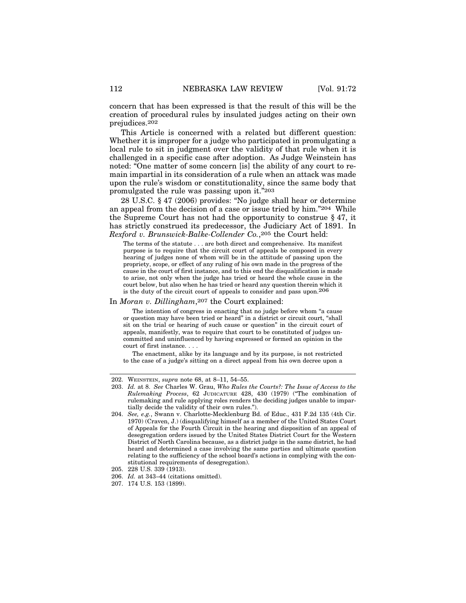concern that has been expressed is that the result of this will be the creation of procedural rules by insulated judges acting on their own prejudices.202

This Article is concerned with a related but different question: Whether it is improper for a judge who participated in promulgating a local rule to sit in judgment over the validity of that rule when it is challenged in a specific case after adoption. As Judge Weinstein has noted: "One matter of some concern [is] the ability of any court to remain impartial in its consideration of a rule when an attack was made upon the rule's wisdom or constitutionality, since the same body that promulgated the rule was passing upon it."203

28 U.S.C. § 47 (2006) provides: "No judge shall hear or determine an appeal from the decision of a case or issue tried by him."204 While the Supreme Court has not had the opportunity to construe § 47, it has strictly construed its predecessor, the Judiciary Act of 1891. In *Rexford v. Brunswick-Balke-Collender Co.*,205 the Court held:

The terms of the statute . . . are both direct and comprehensive. Its manifest purpose is to require that the circuit court of appeals be composed in every hearing of judges none of whom will be in the attitude of passing upon the propriety, scope, or effect of any ruling of his own made in the progress of the cause in the court of first instance, and to this end the disqualification is made to arise, not only when the judge has tried or heard the whole cause in the court below, but also when he has tried or heard any question therein which it is the duty of the circuit court of appeals to consider and pass upon.206

#### In *Moran v. Dillingham*,207 the Court explained:

The intention of congress in enacting that no judge before whom "a cause or question may have been tried or heard" in a district or circuit court, "shall sit on the trial or hearing of such cause or question" in the circuit court of appeals, manifestly, was to require that court to be constituted of judges uncommitted and uninfluenced by having expressed or formed an opinion in the court of first instance. . . .

The enactment, alike by its language and by its purpose, is not restricted to the case of a judge's sitting on a direct appeal from his own decree upon a

<sup>202.</sup> WEINSTEIN, *supra* note 68, at 8–11, 54–55.

<sup>203.</sup> *Id.* at 8. *See* Charles W. Grau, *Who Rules the Courts?: The Issue of Access to the Rulemaking Process*, 62 JUDICATURE 428, 430 (1979) ("The combination of rulemaking and rule applying roles renders the deciding judges unable to impartially decide the validity of their own rules.").

<sup>204.</sup> *See, e.g.*, Swann v. Charlotte-Mecklenburg Bd. of Educ., 431 F.2d 135 (4th Cir. 1970) (Craven, J.) (disqualifying himself as a member of the United States Court of Appeals for the Fourth Circuit in the hearing and disposition of an appeal of desegregation orders issued by the United States District Court for the Western District of North Carolina because, as a district judge in the same district, he had heard and determined a case involving the same parties and ultimate question relating to the sufficiency of the school board's actions in complying with the constitutional requirements of desegregation).

<sup>205. 228</sup> U.S. 339 (1913).

<sup>206.</sup> *Id.* at 343–44 (citations omitted).

<sup>207. 174</sup> U.S. 153 (1899).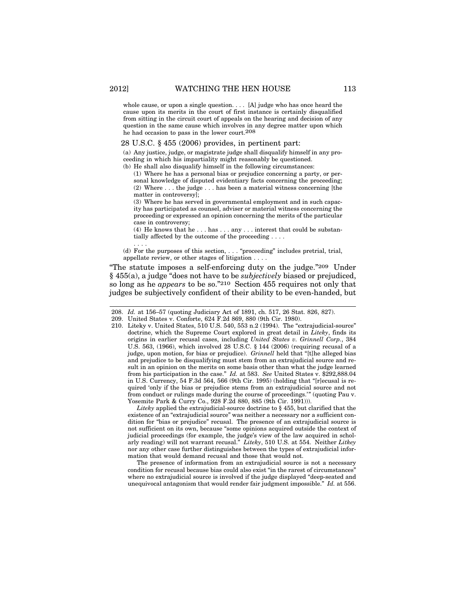whole cause, or upon a single question. . . . [A] judge who has once heard the cause upon its merits in the court of first instance is certainly disqualified from sitting in the circuit court of appeals on the hearing and decision of any question in the same cause which involves in any degree matter upon which he had occasion to pass in the lower court.208

#### 28 U.S.C. § 455 (2006) provides, in pertinent part:

(a) Any justice, judge, or magistrate judge shall disqualify himself in any proceeding in which his impartiality might reasonably be questioned.

(b) He shall also disqualify himself in the following circumstances:

(1) Where he has a personal bias or prejudice concerning a party, or personal knowledge of disputed evidentiary facts concerning the proceeding; (2) Where . . . the judge . . . has been a material witness concerning [the matter in controversy];

(3) Where he has served in governmental employment and in such capacity has participated as counsel, adviser or material witness concerning the proceeding or expressed an opinion concerning the merits of the particular case in controversy;

(4) He knows that he . . . has . . . any . . . interest that could be substantially affected by the outcome of the proceeding . . . .

. . . . (d) For the purposes of this section, . . . "proceeding" includes pretrial, trial, appellate review, or other stages of litigation . . . .

"The statute imposes a self-enforcing duty on the judge."209 Under § 455(a), a judge "does not have to be *subjectively* biased or prejudiced, so long as he *appears* to be so."210 Section 455 requires not only that judges be subjectively confident of their ability to be even-handed, but

210. Liteky v. United States, 510 U.S. 540, 553 n.2 (1994). The "extrajudicial-source" doctrine, which the Supreme Court explored in great detail in *Liteky*, finds its origins in earlier recusal cases, including *United States v. Grinnell Corp.*, 384 U.S. 563, (1966), which involved 28 U.S.C. § 144 (2006) (requiring recusal of a judge, upon motion, for bias or prejudice). *Grinnell* held that "[t]he alleged bias and prejudice to be disqualifying must stem from an extrajudicial source and result in an opinion on the merits on some basis other than what the judge learned from his participation in the case." *Id.* at 583. *See* United States v. \$292,888.04 in U.S. Currency, 54 F.3d 564, 566 (9th Cir. 1995) (holding that "[r]ecusal is required 'only if the bias or prejudice stems from an extrajudicial source and not from conduct or rulings made during the course of proceedings.'" (quoting Pau v. Yosemite Park & Curry Co., 928 F.2d 880, 885 (9th Cir. 1991))).

*Liteky* applied the extrajudicial-source doctrine to § 455, but clarified that the existence of an "extrajudicial source" was neither a necessary nor a sufficient condition for "bias or prejudice" recusal. The presence of an extrajudicial source is not sufficient on its own, because "some opinions acquired outside the context of judicial proceedings (for example, the judge's view of the law acquired in scholarly reading) will not warrant recusal." *Liteky*, 510 U.S. at 554. Neither *Litkey* nor any other case further distinguishes between the types of extrajudicial information that would demand recusal and those that would not.

The presence of information from an extrajudicial source is not a necessary condition for recusal because bias could also exist "in the rarest of circumstances" where no extrajudicial source is involved if the judge displayed "deep-seated and unequivocal antagonism that would render fair judgment impossible." *Id.* at 556.

<sup>208.</sup> *Id.* at 156–57 (quoting Judiciary Act of 1891, ch. 517, 26 Stat. 826, 827).

<sup>209.</sup> United States v. Conforte, 624 F.2d 869, 880 (9th Cir. 1980).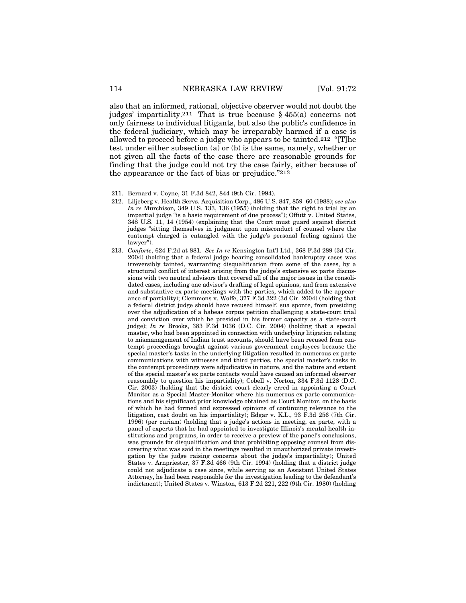also that an informed, rational, objective observer would not doubt the judges' impartiality.211 That is true because § 455(a) concerns not only fairness to individual litigants, but also the public's confidence in the federal judiciary, which may be irreparably harmed if a case is allowed to proceed before a judge who appears to be tainted.212 "[T]he test under either subsection (a) or (b) is the same, namely, whether or not given all the facts of the case there are reasonable grounds for finding that the judge could not try the case fairly, either because of the appearance or the fact of bias or prejudice."213

<sup>211.</sup> Bernard v. Coyne, 31 F.3d 842, 844 (9th Cir. 1994).

<sup>212.</sup> Liljeberg v. Health Servs. Acquisition Corp., 486 U.S. 847, 859–60 (1988); *see also In re* Murchison*,* 349 U.S. 133, 136 (1955) (holding that the right to trial by an impartial judge "is a basic requirement of due process"); Offutt v. United States, 348 U.S. 11, 14 (1954) (explaining that the Court must guard against district judges "sitting themselves in judgment upon misconduct of counsel where the contempt charged is entangled with the judge's personal feeling against the lawyer").

<sup>213.</sup> *Conforte*, 624 F.2d at 881. *See In re* Kensington Int'l Ltd., 368 F.3d 289 (3d Cir. 2004) (holding that a federal judge hearing consolidated bankruptcy cases was irreversibly tainted, warranting disqualification from some of the cases, by a structural conflict of interest arising from the judge's extensive ex parte discussions with two neutral advisors that covered all of the major issues in the consolidated cases, including one advisor's drafting of legal opinions, and from extensive and substantive ex parte meetings with the parties, which added to the appearance of partiality); Clemmons v. Wolfe, 377 F.3d 322 (3d Cir. 2004) (holding that a federal district judge should have recused himself, sua sponte, from presiding over the adjudication of a habeas corpus petition challenging a state-court trial and conviction over which he presided in his former capacity as a state-court judge); *In re* Brooks, 383 F.3d 1036 (D.C. Cir. 2004) (holding that a special master, who had been appointed in connection with underlying litigation relating to mismanagement of Indian trust accounts, should have been recused from contempt proceedings brought against various government employees because the special master's tasks in the underlying litigation resulted in numerous ex parte communications with witnesses and third parties, the special master's tasks in the contempt proceedings were adjudicative in nature, and the nature and extent of the special master's ex parte contacts would have caused an informed observer reasonably to question his impartiality); Cobell v. Norton, 334 F.3d 1128 (D.C. Cir. 2003) (holding that the district court clearly erred in appointing a Court Monitor as a Special Master-Monitor where his numerous ex parte communications and his significant prior knowledge obtained as Court Monitor, on the basis of which he had formed and expressed opinions of continuing relevance to the litigation, cast doubt on his impartiality); Edgar v. K.L., 93 F.3d 256 (7th Cir. 1996) (per curiam) (holding that a judge's actions in meeting, ex parte, with a panel of experts that he had appointed to investigate Illinois's mental-health institutions and programs, in order to receive a preview of the panel's conclusions, was grounds for disqualification and that prohibiting opposing counsel from discovering what was said in the meetings resulted in unauthorized private investigation by the judge raising concerns about the judge's impartiality); United States v. Arnpriester, 37 F.3d 466 (9th Cir. 1994) (holding that a district judge could not adjudicate a case since, while serving as an Assistant United States Attorney, he had been responsible for the investigation leading to the defendant's indictment); United States v. Winston, 613 F.2d 221, 222 (9th Cir. 1980) (holding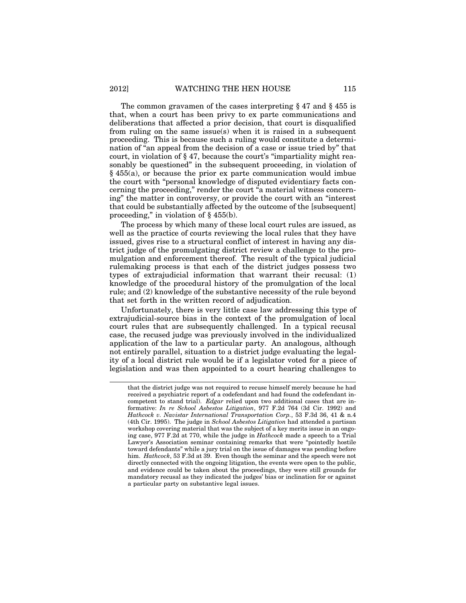The common gravamen of the cases interpreting § 47 and § 455 is that, when a court has been privy to ex parte communications and deliberations that affected a prior decision, that court is disqualified from ruling on the same issue(s) when it is raised in a subsequent proceeding. This is because such a ruling would constitute a determination of "an appeal from the decision of a case or issue tried by" that court, in violation of § 47, because the court's "impartiality might reasonably be questioned" in the subsequent proceeding, in violation of § 455(a), or because the prior ex parte communication would imbue the court with "personal knowledge of disputed evidentiary facts concerning the proceeding," render the court "a material witness concerning" the matter in controversy, or provide the court with an "interest that could be substantially affected by the outcome of the [subsequent] proceeding," in violation of § 455(b).

The process by which many of these local court rules are issued, as well as the practice of courts reviewing the local rules that they have issued, gives rise to a structural conflict of interest in having any district judge of the promulgating district review a challenge to the promulgation and enforcement thereof. The result of the typical judicial rulemaking process is that each of the district judges possess two types of extrajudicial information that warrant their recusal: (1) knowledge of the procedural history of the promulgation of the local rule; and (2) knowledge of the substantive necessity of the rule beyond that set forth in the written record of adjudication.

Unfortunately, there is very little case law addressing this type of extrajudicial-source bias in the context of the promulgation of local court rules that are subsequently challenged. In a typical recusal case, the recused judge was previously involved in the individualized application of the law to a particular party. An analogous, although not entirely parallel, situation to a district judge evaluating the legality of a local district rule would be if a legislator voted for a piece of legislation and was then appointed to a court hearing challenges to

that the district judge was not required to recuse himself merely because he had received a psychiatric report of a codefendant and had found the codefendant incompetent to stand trial). *Edgar* relied upon two additional cases that are informative: *In re School Asbestos Litigation*, 977 F.2d 764 (3d Cir. 1992) and *Hathcock v. Navistar International Transportation Corp.*, 53 F.3d 36, 41 & n.4 (4th Cir. 1995). The judge in *School Asbestos Litigation* had attended a partisan workshop covering material that was the subject of a key merits issue in an ongoing case, 977 F.2d at 770, while the judge in *Hathcock* made a speech to a Trial Lawyer's Association seminar containing remarks that were "pointedly hostile toward defendants" while a jury trial on the issue of damages was pending before him. *Hathcock*, 53 F.3d at 39. Even though the seminar and the speech were not directly connected with the ongoing litigation, the events were open to the public, and evidence could be taken about the proceedings, they were still grounds for mandatory recusal as they indicated the judges' bias or inclination for or against a particular party on substantive legal issues.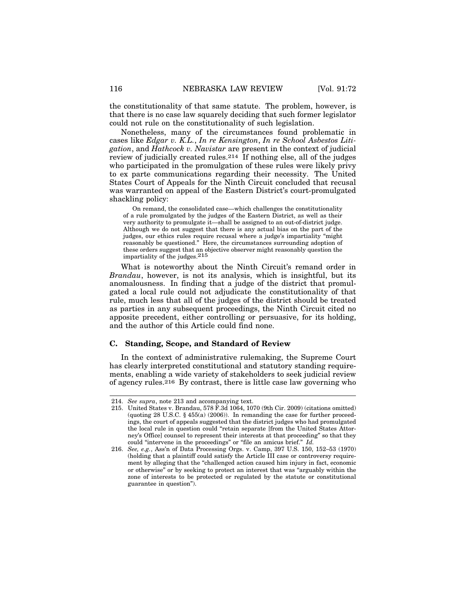the constitutionality of that same statute. The problem, however, is that there is no case law squarely deciding that such former legislator could not rule on the constitutionality of such legislation.

Nonetheless, many of the circumstances found problematic in cases like *Edgar v. K.L.*, *In re Kensington*, *In re School Asbestos Litigation*, and *Hathcock v. Navistar* are present in the context of judicial review of judicially created rules.214 If nothing else, all of the judges who participated in the promulgation of these rules were likely privy to ex parte communications regarding their necessity. The United States Court of Appeals for the Ninth Circuit concluded that recusal was warranted on appeal of the Eastern District's court-promulgated shackling policy:

On remand, the consolidated case—which challenges the constitutionality of a rule promulgated by the judges of the Eastern District, as well as their very authority to promulgate it—shall be assigned to an out-of-district judge. Although we do not suggest that there is any actual bias on the part of the judges, our ethics rules require recusal where a judge's impartiality "might reasonably be questioned." Here, the circumstances surrounding adoption of these orders suggest that an objective observer might reasonably question the impartiality of the judges.215

What is noteworthy about the Ninth Circuit's remand order in *Brandau*, however, is not its analysis, which is insightful, but its anomalousness. In finding that a judge of the district that promulgated a local rule could not adjudicate the constitutionality of that rule, much less that all of the judges of the district should be treated as parties in any subsequent proceedings, the Ninth Circuit cited no apposite precedent, either controlling or persuasive, for its holding, and the author of this Article could find none.

#### **C. Standing, Scope, and Standard of Review**

In the context of administrative rulemaking, the Supreme Court has clearly interpreted constitutional and statutory standing requirements, enabling a wide variety of stakeholders to seek judicial review of agency rules.216 By contrast, there is little case law governing who

<sup>214.</sup> *See supra*, note 213 and accompanying text.

<sup>215.</sup> United States v. Brandau, 578 F.3d 1064, 1070 (9th Cir. 2009) (citations omitted) (quoting 28 U.S.C. § 455(a) (2006)). In remanding the case for further proceedings, the court of appeals suggested that the district judges who had promulgated the local rule in question could "retain separate [from the United States Attorney's Office] counsel to represent their interests at that proceeding" so that they could "intervene in the proceedings" or "file an amicus brief." *Id.*

<sup>216.</sup> *See, e.g.*, Ass'n of Data Processing Orgs. v. Camp, 397 U.S. 150, 152–53 (1970) (holding that a plaintiff could satisfy the Article III case or controversy requirement by alleging that the "challenged action caused him injury in fact, economic or otherwise" or by seeking to protect an interest that was "arguably within the zone of interests to be protected or regulated by the statute or constitutional guarantee in question").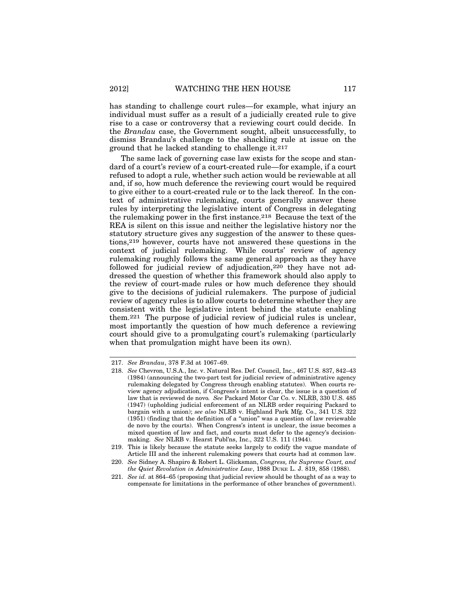has standing to challenge court rules—for example, what injury an individual must suffer as a result of a judicially created rule to give rise to a case or controversy that a reviewing court could decide. In the *Brandau* case, the Government sought, albeit unsuccessfully, to dismiss Brandau's challenge to the shackling rule at issue on the ground that he lacked standing to challenge it.217

The same lack of governing case law exists for the scope and standard of a court's review of a court-created rule—for example, if a court refused to adopt a rule, whether such action would be reviewable at all and, if so, how much deference the reviewing court would be required to give either to a court-created rule or to the lack thereof. In the context of administrative rulemaking, courts generally answer these rules by interpreting the legislative intent of Congress in delegating the rulemaking power in the first instance.218 Because the text of the REA is silent on this issue and neither the legislative history nor the statutory structure gives any suggestion of the answer to these questions,219 however, courts have not answered these questions in the context of judicial rulemaking. While courts' review of agency rulemaking roughly follows the same general approach as they have followed for judicial review of adjudication,220 they have not addressed the question of whether this framework should also apply to the review of court-made rules or how much deference they should give to the decisions of judicial rulemakers. The purpose of judicial review of agency rules is to allow courts to determine whether they are consistent with the legislative intent behind the statute enabling them.221 The purpose of judicial review of judicial rules is unclear, most importantly the question of how much deference a reviewing court should give to a promulgating court's rulemaking (particularly when that promulgation might have been its own).

<sup>217.</sup> *See Brandau*, 378 F.3d at 1067–69.

<sup>218.</sup> *See* Chevron, U.S.A., Inc. v. Natural Res. Def. Council, Inc., 467 U.S. 837, 842–43 (1984) (announcing the two-part test for judicial review of administrative agency rulemaking delegated by Congress through enabling statutes). When courts review agency adjudication, if Congress's intent is clear, the issue is a question of law that is reviewed de novo*. See* Packard Motor Car Co. v. NLRB, 330 U.S. 485 (1947) (upholding judicial enforcement of an NLRB order requiring Packard to bargain with a union); *see also* NLRB v. Highland Park Mfg. Co., 341 U.S. 322 (1951) (finding that the definition of a "union" was a question of law reviewable de novo by the courts). When Congress's intent is unclear, the issue becomes a mixed question of law and fact, and courts must defer to the agency's decisionmaking. *See* NLRB v. Hearst Publ'ns, Inc., 322 U.S. 111 (1944).

<sup>219.</sup> This is likely because the statute seeks largely to codify the vague mandate of Article III and the inherent rulemaking powers that courts had at common law.

<sup>220.</sup> *See* Sidney A. Shapiro & Robert L. Glicksman, *Congress, the Supreme Court, and the Quiet Revolution in Administrative Law*, 1988 DUKE L. J. 819, 858 (1988).

<sup>221.</sup> *See id.* at 864–65 (proposing that judicial review should be thought of as a way to compensate for limitations in the performance of other branches of government).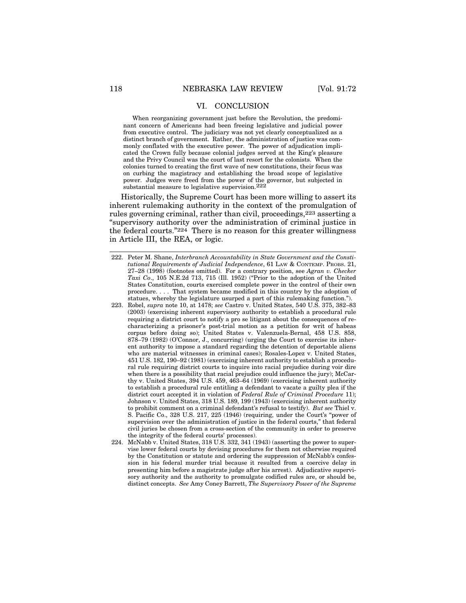# VI. CONCLUSION

When reorganizing government just before the Revolution, the predominant concern of Americans had been freeing legislative and judicial power from executive control. The judiciary was not yet clearly conceptualized as a distinct branch of government. Rather, the administration of justice was commonly conflated with the executive power. The power of adjudication implicated the Crown fully because colonial judges served at the King's pleasure and the Privy Council was the court of last resort for the colonists. When the colonies turned to creating the first wave of new constitutions, their focus was on curbing the magistracy and establishing the broad scope of legislative power. Judges were freed from the power of the governor, but subjected in substantial measure to legislative supervision.222

Historically, the Supreme Court has been more willing to assert its inherent rulemaking authority in the context of the promulgation of rules governing criminal, rather than civil, proceedings,223 asserting a "supervisory authority over the administration of criminal justice in the federal courts."224 There is no reason for this greater willingness in Article III, the REA, or logic.

- 222. Peter M. Shane, *Interbranch Accountability in State Government and the Constitutional Requirements of Judicial Independence*, 61 LAW & CONTEMP. PROBS. 21, 27–28 (1998) (footnotes omitted). For a contrary position, see *Agran v. Checker Taxi Co*., 105 N.E.2d 713, 715 (Ill. 1952) ("Prior to the adoption of the United States Constitution, courts exercised complete power in the control of their own procedure. . . . That system became modified in this country by the adoption of statues, whereby the legislature usurped a part of this rulemaking function.").
- 223. Robel, *supra* note 10, at 1478; *see* Castro v. United States, 540 U.S. 375, 382–83 (2003) (exercising inherent supervisory authority to establish a procedural rule requiring a district court to notify a pro se litigant about the consequences of recharacterizing a prisoner's post-trial motion as a petition for writ of habeas corpus before doing so); United States v. Valenzuela-Bernal, 458 U.S. 858, 878–79 (1982) (O'Connor, J., concurring) (urging the Court to exercise its inherent authority to impose a standard regarding the detention of deportable aliens who are material witnesses in criminal cases); Rosales-Lopez v. United States, 451 U.S. 182, 190–92 (1981) (exercising inherent authority to establish a procedural rule requiring district courts to inquire into racial prejudice during voir dire when there is a possibility that racial prejudice could influence the jury); McCarthy v. United States, 394 U.S. 459, 463–64 (1969) (exercising inherent authority to establish a procedural rule entitling a defendant to vacate a guilty plea if the district court accepted it in violation of *Federal Rule of Criminal Procedure* 11); Johnson v. United States, 318 U.S. 189, 199 (1943) (exercising inherent authority to prohibit comment on a criminal defendant's refusal to testify). *But see* Thiel v. S. Pacific Co., 328 U.S. 217, 225 (1946) (requiring, under the Court's "power of supervision over the administration of justice in the federal courts," that federal civil juries be chosen from a cross-section of the community in order to preserve the integrity of the federal courts' processes).
- 224. McNabb v. United States, 318 U.S. 332, 341 (1943) (asserting the power to supervise lower federal courts by devising procedures for them not otherwise required by the Constitution or statute and ordering the suppression of McNabb's confession in his federal murder trial because it resulted from a coercive delay in presenting him before a magistrate judge after his arrest). Adjudicative supervisory authority and the authority to promulgate codified rules are, or should be, distinct concepts. *See* Amy Coney Barrett, *The Supervisory Power of the Supreme*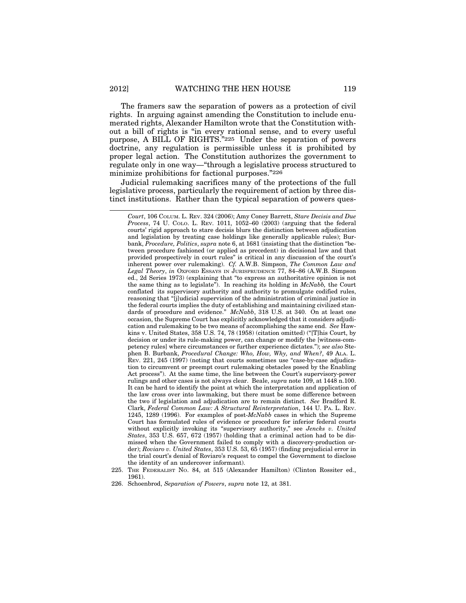The framers saw the separation of powers as a protection of civil rights. In arguing against amending the Constitution to include enumerated rights, Alexander Hamilton wrote that the Constitution without a bill of rights is "in every rational sense, and to every useful purpose, A BILL OF RIGHTS."225 Under the separation of powers doctrine, any regulation is permissible unless it is prohibited by proper legal action. The Constitution authorizes the government to regulate only in one way—"through a legislative process structured to minimize prohibitions for factional purposes."226

Judicial rulemaking sacrifices many of the protections of the full legislative process, particularly the requirement of action by three distinct institutions. Rather than the typical separation of powers ques-

*Court*, 106 COLUM. L. REV. 324 (2006); Amy Coney Barrett, *Stare Decisis and Due Process*, 74 U. COLO. L. REV. 1011, 1052–60 (2003) (arguing that the federal courts' rigid approach to stare decisis blurs the distinction between adjudication and legislation by treating case holdings like generally applicable rules); Burbank, *Procedure, Politics*, *supra* note 6, at 1681 (insisting that the distinction "between procedure fashioned (or applied as precedent) in decisional law and that provided prospectively in court rules" is critical in any discussion of the court's inherent power over rulemaking). *Cf.* A.W.B. Simpson, *The Common Law and Legal Theory*, *in* OXFORD ESSAYS IN JURISPRUDENCE 77, 84–86 (A.W.B. Simpson ed., 2d Series 1973) (explaining that "to express an authoritative opinion is not the same thing as to legislate"). In reaching its holding in *McNabb,* the Court conflated its supervisory authority and authority to promulgate codified rules, reasoning that "[j]udicial supervision of the administration of criminal justice in the federal courts implies the duty of establishing and maintaining civilized standards of procedure and evidence." *McNabb*, 318 U.S. at 340. On at least one occasion, the Supreme Court has explicitly acknowledged that it considers adjudication and rulemaking to be two means of accomplishing the same end. *See* Hawkins v. United States, 358 U.S. 74, 78 (1958) (citation omitted) ("[T]his Court, by decision or under its rule-making power, can change or modify the [witness-competency rules] where circumstances or further experience dictates."); *see also* Stephen B. Burbank, *Procedural Change: Who, How, Why, and When?*, 49 ALA. L. REV. 221, 245 (1997) (noting that courts sometimes use "case-by-case adjudication to circumvent or preempt court rulemaking obstacles posed by the Enabling Act process"). At the same time, the line between the Court's supervisory-power rulings and other cases is not always clear. Beale, *supra* note 109, at 1448 n.100. It can be hard to identify the point at which the interpretation and application of the law cross over into lawmaking, but there must be some difference between the two if legislation and adjudication are to remain distinct. *See* Bradford R. Clark, *Federal Common Law: A Structural Reinterpretation*, 144 U. PA. L. REV. 1245, 1289 (1996). For examples of post-*McNabb* cases in which the Supreme Court has formulated rules of evidence or procedure for inferior federal courts without explicitly invoking its "supervisory authority," see *Jencks v. United States*, 353 U.S. 657, 672 (1957) (holding that a criminal action had to be dismissed when the Government failed to comply with a discovery-production order); *Roviaro v. United States*, 353 U.S. 53, 65 (1957) (finding prejudicial error in the trial court's denial of Roviaro's request to compel the Government to disclose the identity of an undercover informant).

<sup>225.</sup> THE FEDERALIST NO. 84, at 515 (Alexander Hamilton) (Clinton Rossiter ed., 1961).

<sup>226.</sup> Schoenbrod, *Separation of Powers*, *supra* note 12, at 381.